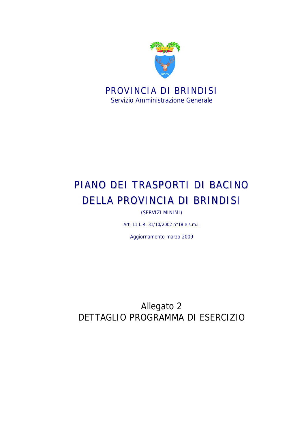

Servizio Amministrazione Generale

# PIANO DEI TRASPORTI DI BACINO DELLA PROVINCIA DI BRINDISI

(SERVIZI MINIMI)

Art. 11 L.R. 31/10/2002 n°18 e s.m.i.

Aggiornamento marzo 2009

Allegato 2 DETTAGLIO PROGRAMMA DI ESERCIZIO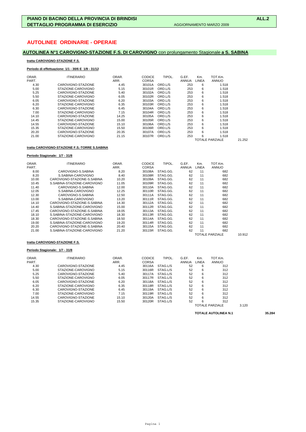# **AUTOLINEE ORDINARIE - OPERAIE**

# **AUTOLINEA N°1 CAROVIGNO-STAZIONE F.S. DI CAROVIGNO** con prolungamento Stagionale **a S. SABINA**

# **tratta CAROVIGNO-STAZIONE F.S.**

### **Periodo di effettuazione: 1/1 - 30/6 E 1/9 - 31/12**

| ORAR.<br>PART. | <b>ITINERARIO</b>  | ORAR.<br>ARR. | <b>CODICE</b><br><b>CORSA</b> | TIPOL.  | G.EF.<br><b>ANNUA</b> | Km.<br>LINEA | TOT.Km.<br><b>ANNUO</b> |        |
|----------------|--------------------|---------------|-------------------------------|---------|-----------------------|--------------|-------------------------|--------|
| 4.30           | CAROVIGNO-STAZIONE | 4.45          | 30101A                        | ORD.L/S | 253                   | 6            | 1.518                   |        |
| 5.00           | STAZIONE-CAROVIGNO | 5.15          | 30101R                        | ORD.L/S | 253                   | 6            | 1.518                   |        |
| 5.25           | CAROVIGNO-STAZIONE | 5.40          | 30102A                        | ORD.L/S | 253                   | 6            | 1.518                   |        |
| 5.50           | STAZIONE-CAROVIGNO | 6.05          | 30102R                        | ORD.L/S | 253                   | 6            | 1.518                   |        |
| 6.05           | CAROVIGNO-STAZIONE | 6.20          | 30103A                        | ORD.L/S | 253                   | 6            | 1.518                   |        |
| 6.20           | STAZIONE-CAROVIGNO | 6.35          | 30103R                        | ORD.L/S | 253                   | 6            | 1.518                   |        |
| 6.30           | CAROVIGNO-STAZIONE | 6.45          | 30104A                        | ORD.L/S | 253                   | 6            | 1.518                   |        |
| 7.00           | STAZIONE-CAROVIGNO | 7.15          | 30104R                        | ORD.L/S | 253                   | 6            | 1.518                   |        |
| 14.10          | CAROVIGNO-STAZIONE | 14.25         | 30105A                        | ORD.L/S | 253                   | 6            | 1.518                   |        |
| 14.45          | STAZIONE-CAROVIGNO | 15.00         | 30105R                        | ORD.L/S | 253                   | 6            | 1.518                   |        |
| 14.55          | CAROVIGNO-STAZIONE | 15.10         | 30106A                        | ORD.L/S | 253                   | 6            | 1.518                   |        |
| 15.35          | STAZIONE-CAROVIGNO | 15.50         | 30106R                        | ORD.L/S | 253                   | 6            | 1.518                   |        |
| 20.20          | CAROVIGNO-STAZIONE | 20.35         | 30107A                        | ORD.L/S | 253                   | 6            | 1.518                   |        |
| 21.00          | STAZIONE-CAROVIGNO | 21.15         | 30107R                        | ORD.L/S | 253                   | 6            | 1.518                   |        |
|                |                    |               |                               |         |                       |              | <b>TOTALE PARZIALE</b>  | 21.252 |

# **tratta CAROVIGNO-STAZIONE F.S.-TORRE S.SABINA**

### **Periodo Stagionale: 1/7 - 31/8**

| ORAR. | <b>ITINERARIO</b>            | ORAR. | <b>CODICE</b> | TIPOL.   | G.EF. | Km.   | TOT.Km.         |        |
|-------|------------------------------|-------|---------------|----------|-------|-------|-----------------|--------|
| PART. |                              | ARR.  | <b>CORSA</b>  |          | ANNUA | LINEA | ANNUO           |        |
| 8.00  | CAROVIGNO-S.SABINA           | 8.20  | 30108A        | STAG.GG. | 62    | 11    | 682             |        |
| 8.20  | S.SABINA-CAROVIGNO           | 8.40  | 30108R        | STAG.GG. | 62    | 11    | 682             |        |
| 10.00 | CAROVIGNO-STAZIONE-S. SABINA | 10.20 | 30109A        | STAG.GG. | 62    | 11    | 682             |        |
| 10.45 | S.SABINA-STAZIONE-CAROVIGNO  | 11.05 | 30109R        | STAG.GG. | 62    | 11    | 682             |        |
| 11.40 | CAROVIGNO-S.SABINA           | 12.00 | 30110A        | STAG.GG. | 62    | 11    | 682             |        |
| 12.05 | S.SABINA-CAROVIGNO           | 12.25 | 30110R        | STAG.GG. | 62    | 11    | 682             |        |
| 12.30 | CAROVIGNO-S.SABINA           | 12.50 | 30111A        | STAG.GG. | 62    | 11    | 682             |        |
| 13.00 | S.SABINA-CAROVIGNO           | 13.20 | 30111R        | STAG.GG. | 62    | 11    | 682             |        |
| 14.10 | CAROVIGNO-STAZIONE-S. SABINA | 14.30 | 30112A        | STAG.GG. | 62    | 11    | 682             |        |
| 14.40 | S.SABINA-STAZIONE-CAROVIGNO  | 15.00 | 30112R        | STAG.GG. | 62    | 11    | 682             |        |
| 17.45 | CAROVIGNO-STAZIONE-S. SABINA | 18.05 | 30113A        | STAG.GG. | 62    | 11    | 682             |        |
| 18.10 | S.SABINA-STAZIONE-CAROVIGNO  | 18.30 | 30113R        | STAG.GG. | 62    | 11    | 682             |        |
| 18.30 | CAROVIGNO-STAZIONE-S.SABINA  | 18.50 | 30114A        | STAG.GG. | 62    | 11    | 682             |        |
| 19.00 | S.SABINA-STAZIONE-CAROVIGNO  | 19.20 | 30114R        | STAG.GG. | 62    | 11    | 682             |        |
| 20.20 | CAROVIGNO-STAZIONE-S. SABINA | 20.40 | 30115A        | STAG.GG. | 62    | 11    | 682             |        |
| 21.00 | S.SABINA-STAZIONE-CAROVIGNO  | 21.20 | 30115R        | STAG.GG. | 62    | 11    | 682             |        |
|       |                              |       |               |          |       |       | TOTALE PARZIALE | 10.912 |

### **tratta CAROVIGNO-STAZIONE F.S.**

# **Periodo Stagionale: 1/7 - 31/8**

| ORAR. | <b>ITINERARIO</b>  | ORAR. | <b>CODICE</b> | TIPOL.   | G.EF.        | Km.   | TOT.Km.         |       |
|-------|--------------------|-------|---------------|----------|--------------|-------|-----------------|-------|
| PART. |                    | ARR.  | <b>CORSA</b>  |          | <b>ANNUA</b> | LINEA | <b>ANNUO</b>    |       |
| 4.30  | CAROVIGNO-STAZIONE | 4.45  | 30116A        | STAG.L/S | 52           | 6     | 312             |       |
| 5.00  | STAZIONE-CAROVIGNO | 5.15  | 30116R        | STAG.L/S | 52           | 6     | 312             |       |
| 5.25  | CAROVIGNO-STAZIONE | 5.40  | 30117A        | STAG.L/S | 52           | 6     | 312             |       |
| 5.50  | STAZIONE-CAROVIGNO | 6.05  | 30117R        | STAG.L/S | 52           | 6     | 312             |       |
| 6.05  | CAROVIGNO-STAZIONE | 6.20  | 30118A        | STAG.L/S | 52           | 6     | 312             |       |
| 6.20  | STAZIONE-CAROVIGNO | 6.35  | 30118R        | STAG.L/S | 52           | 6     | 312             |       |
| 6.30  | CAROVIGNO-STAZIONE | 6.45  | 30119A        | STAG.L/S | 52           | 6     | 312             |       |
| 7.00  | STAZIONE-CAROVIGNO | 7.15  | 30119R        | STAG.L/S | 52           | 6     | 312             |       |
| 14.55 | CAROVIGNO-STAZIONE | 15.10 | 30120A        | STAG.L/S | 52           | 6     | 312             |       |
| 15.35 | STAZIONE-CAROVIGNO | 15.50 | 30120R        | STAG.L/S | 52           | 6     | 312             |       |
|       |                    |       |               |          |              |       | TOTALE PARZIALE | 3.120 |

**TOTALE AUTOLINEA N.1 35.284**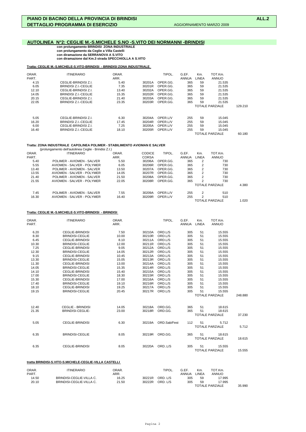# **AUTOLINEA N°2: CEGLIE M.-S.MICHELE S.NO -S.VITO DEI NORMANNI -BRINDISI**

 **con prolungamento BRINDISI ZONA INDUSTRIALE con prolungamento da Ceglie a Villa Castelli con diramazione da SERRANOVA A S.VITO con diramazione dal Km.3 strada SPECCHIOLLA A S.VITO**

### **Tratta: CEGLIE M.-S.MICHELE-S.VITO-BRINDISI - BRINDISI ZONA INDUSTRIALE**

| ORAR. | <b>ITINERARIO</b>    | ORAR. |        | TIPOL.   | G.EF. | Km.   | TOT.Km.                |         |
|-------|----------------------|-------|--------|----------|-------|-------|------------------------|---------|
| PART. |                      | ARR.  |        |          | ANNUA | LINEA | <b>ANNUO</b>           |         |
| 4.15  | CEGLIE-BRINDISI Z.I. | 5.40  | 30201A | OPER.GG. | 365   | 59    | 21.535                 |         |
| 6.05  | BRINDISI Z.I.-CEGLIE | 7.35  | 30201R | OPER.GG. | 365   | 59    | 21.535                 |         |
| 12.10 | CEGLIE-BRINDISI Z.I. | 13.40 | 30202A | OPER.GG. | 365   | 59    | 21.535                 |         |
| 14.05 | BRINDISI Z.I.-CEGLIE | 15.35 | 30202R | OPER.GG. | 365   | 59    | 21.535                 |         |
| 20.15 | CEGLIE-BRINDISI Z.I. | 21.40 | 30203A | OPER.GG. | 365   | 59    | 21.535                 |         |
| 22.05 | BRINDISI Z.I.-CEGLIE | 23.35 | 30203R | OPER.GG. | 365   | 59    | 21.535                 |         |
|       |                      |       |        |          |       |       | <b>TOTALE PARZIALE</b> | 129.210 |
| 5.05  | CEGLIE-BRINDISI Z.I. | 6.30  | 30204A | OPER.L/V | 255   | 59    | 15.045                 |         |
| 16.20 | BRINDISI Z.I.-CEGLIE | 17.45 | 30204R | OPER.L/V | 255   | 59    | 15.045                 |         |
| 6.00  | CEGLIE-BRINDISI Z.I. | 7.25  | 30205A | OPER.L/V | 255   | 59    | 15.045                 |         |
| 16.40 | BRINDISI Z.I.-CEGLIE | 18.10 | 30205R | OPER.L/V | 255   | 59    | 15.045                 |         |
|       |                      |       |        |          |       |       | <b>TOTALE PARZIALE</b> | 60.180  |

### **Tratta: ZONA INDUSTRIALE CAPOLINEA POLIMER - STABILIMENTO AVIOMAN E SALVER**

(prolungamento dell'autolinea Ceglie - Brindisi Z.I.)

| ORAR. | <b>ITINERARIO</b>          | ORAR. | <b>CODICE</b> | TIPOL.   | G.EF.        | Km.   | TOT.Km.         |       |
|-------|----------------------------|-------|---------------|----------|--------------|-------|-----------------|-------|
| PART. |                            | ARR.  | <b>CORSA</b>  |          | <b>ANNUA</b> | LINEA | <b>ANNUO</b>    |       |
| 5.40  | POLIMER - AVIOMEN - SALVER | 5.50  | 30206A        | OPER.GG. | 365          |       | 730             |       |
| 5.55  | AVIOMEN - SALVER - POLYMER | 6.05  | 30206R        | OPER.GG. | 365          | 2     | 730             |       |
| 13.40 | POLIMER - AVIOMEN - SALVER | 13.50 | 30207A        | OPER.GG. | 365          | 2     | 730             |       |
| 13.55 | AVIOMEN - SALVER - POLYMER | 14.05 | 30207R        | OPER.GG. | 365          | 2     | 730             |       |
| 21.40 | POLIMER - AVIOMEN - SALVER | 21.50 | 30208A        | OPER.GG. | 365          | 2     | 730             |       |
| 21.55 | AVIOMEN - SALVER - POLYMER | 22.05 | 30208R        | OPER.GG. | 365          | 2     | 730             |       |
|       |                            |       |               |          |              |       | TOTALE PARZIALE | 4.380 |
| 7.45  | POLIMER - AVIOMEN - SALVER | 7.55  | 30209A        | OPER.L/V | 255          | 2     | 510             |       |
| 16.30 | AVIOMEN - SALVER - POLYMER | 16.40 | 30209R        | OPER.L/V | 255          |       | 510             |       |
|       |                            |       |               |          |              |       | TOTALE PARZIALE | 1.020 |
|       |                            |       |               |          |              |       |                 |       |

### **Tratta: CEGLIE M.-S.MICHELE-S.VITO-BRINDISI - BRINDISI**

| ORAR.<br>PART. | <b>ITINERARIO</b>        | ORAR.<br>ARR. |        | TIPOL.             | G.EF.<br>ANNUA | Km.<br><b>LINEA</b> | TOT.Km.<br><b>ANNUO</b> |         |
|----------------|--------------------------|---------------|--------|--------------------|----------------|---------------------|-------------------------|---------|
| 6.20           | <b>CEGLIE-BRINDISI</b>   | 7.50          | 30210A | ORD.L/S            | 305            |                     | 15.555                  |         |
| 8.30           | <b>BRINDISI-CEGLIE</b>   | 10.00         | 30210R | ORD.L/S            | 305            | 51<br>51            | 15.555                  |         |
| 6.45           | <b>CEGLIE-BRINDISI</b>   | 8.10          | 30211A | ORD.L/S            | 305            | 51                  | 15.555                  |         |
|                |                          |               |        |                    |                |                     |                         |         |
| 10.30<br>7.25  | <b>BRINDISI-CEGLIE</b>   | 12.00<br>9.05 | 30211R | ORD.L/S<br>ORD.L/S | 305            | 51<br>51            | 15.555<br>15.555        |         |
|                | <b>CEGLIE-BRINDISI</b>   |               | 30212A |                    | 305            |                     |                         |         |
| 12.30          | <b>BRINDISI-CEGLIE</b>   | 14.05         | 30212R | ORD.L/S            | 305            | 51                  | 15.555                  |         |
| 9.15           | <b>CEGLIE-BRINDISI</b>   | 10.45         | 30213A | ORD.L/S            | 305            | 51                  | 15.555                  |         |
| 13.30          | <b>BRINDISI-CEGLIE</b>   | 15.05         | 30213R | ORD.L/S            | 305            | 51                  | 15.555                  |         |
| 11.30          | <b>CEGLIE-BRINDISI</b>   | 13.00         | 30214A | ORD.L/S            | 305            | 51                  | 15.555                  |         |
| 14.05          | <b>BRINDISI-CEGLIE</b>   | 15.35         | 30214R | ORD.L/S            | 305            | 51                  | 15.555                  |         |
| 14.10          | <b>CEGLIE-BRINDISI</b>   | 15.40         | 30215A | ORD.L/S            | 305            | 51                  | 15.555                  |         |
| 17.00          | <b>BRINDISI-CEGLIE</b>   | 18.30         | 30215R | ORD.L/S            | 305            | 51                  | 15.555                  |         |
| 15.30          | <b>CEGLIE-BRINDISI</b>   | 17.00         | 30216A | ORD.L/S            | 305            | 51                  | 15.555                  |         |
| 17.40          | <b>BRINDISI-CEGLIE</b>   | 19.10         | 30216R | ORD.L/S            | 305            | 51                  | 15.555                  |         |
| 18.10          | <b>CEGLIE-BRINDISI</b>   | 19.25         | 30217A | ORD.L/S            | 305            | 51                  | 15.555                  |         |
| 19.15          | <b>BRINDISI-CEGLIE</b>   | 20.45         |        | 30217R ORD.L/S     | 305            | 51                  | 15.555                  |         |
|                |                          |               |        |                    |                |                     | <b>TOTALE PARZIALE</b>  | 248.880 |
| 12.40          | <b>CEGLIE - BRINDISI</b> | 14.05         | 30218A | ORD.GG.            | 365            | 51                  | 18.615                  |         |
| 21.35          | <b>BRINDISI-CEGLIE-</b>  | 23.00         | 30218R | ORD.GG.            | 365            | 51                  | 18.615                  |         |
|                |                          |               |        |                    |                |                     | <b>TOTALE PARZIALE</b>  | 37.230  |
| 5.05           | <b>CEGLIE-BRINDISI</b>   | 6.30          | 30219A | ORD.Sab/Fest       | 112            | 51                  | 5.712                   |         |
|                |                          |               |        |                    |                |                     | <b>TOTALE PARZIALE</b>  | 5.712   |
| 6.35           | <b>BRINDISI-CEGLIE</b>   | 8.05          |        | 30219R ORD.GG.     | 365            | 51                  | 18.615                  |         |
|                |                          |               |        |                    |                |                     | <b>TOTALE PARZIALE</b>  | 18.615  |
| 6.35           | CEGLIE-BRINDISI          | 8.05          | 30220A | ORDL/S             | 305            | 51                  | 15.555                  |         |
|                |                          |               |        |                    |                |                     | <b>TOTALE PARZIALE</b>  | 15.555  |

### **tratta BRINDISI-S.VITO-S.MICHELE-CEGLIE-VILLA CASTELLI**

| ORAR. | <b>ITINERARIO</b>        | ORAR. |        | TIPOL.   | G.EF. | Km.   | TOT.Km.         |        |
|-------|--------------------------|-------|--------|----------|-------|-------|-----------------|--------|
| PART. |                          | ARR.  |        |          | ANNUA | LINEA | ANNUO           |        |
| 14.50 | BRINDISI-CEGLIE-VILLA C. | 16.25 | 30221R | ORD. L/S | 305   | 59    | 17.995          |        |
| 20.10 | BRINDISI-CEGLIE-VILLA C. | 21.50 | 30222R | ORD. L/S | 305   | 59    | 17.995          |        |
|       |                          |       |        |          |       |       | TOTALE PARZIALE | 35.990 |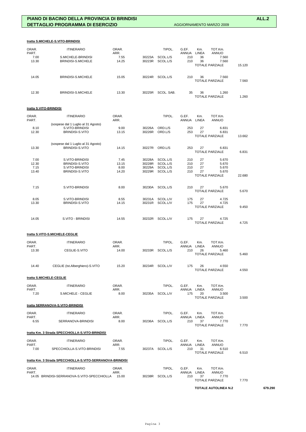|                | tratta S.MICHELE-S.VITO-BRINDISI                              |               |                  |                      |                |                                                |        |
|----------------|---------------------------------------------------------------|---------------|------------------|----------------------|----------------|------------------------------------------------|--------|
| ORAR.          | <b>ITINERARIO</b>                                             | ORAR.         |                  | TIPOL.               | G.EF.          | TOT.Km.<br>Km.                                 |        |
| PART.          |                                                               | ARR.          |                  |                      | ANNUA          | <b>ANNUO</b><br>LINEA                          |        |
| 7.00<br>13.30  | S.MICHELE-BRINDISI<br>BRINDISI-S.MICHELE                      | 7.55<br>14.25 | 30223A<br>30223R | SCOL.L/S<br>SCOL.L/S | 210<br>210     | 36<br>7.560<br>7.560<br>36                     |        |
|                |                                                               |               |                  |                      |                | <b>TOTALE PARZIALE</b>                         | 15.120 |
| 14.05          | BRINDISI-S.MICHELE                                            | 15.05         | 30224R           | SCOL.L/S             | 210            | 36<br>7.560                                    |        |
|                |                                                               |               |                  |                      |                | <b>TOTALE PARZIALE</b>                         | 7.560  |
| 12.30          | BRINDISI-S.MICHELE                                            | 13.30         | 30225R           | SCOL. SAB.           | 35             | 36<br>1.260<br><b>TOTALE PARZIALE</b>          | 1.260  |
|                |                                                               |               |                  |                      |                |                                                |        |
|                | tratta S.VITO-BRINDISI                                        |               |                  |                      |                |                                                |        |
| ORAR.<br>PART. | <b>ITINERARIO</b>                                             | ORAR.<br>ARR. |                  | TIPOL.               | G.EF.<br>ANNUA | Km.<br>TOT.Km.<br>LINEA<br>ANNUO               |        |
| 8.10           | (sospese dal 1 Luglio al 31 Agosto)<br>S.VITO-BRINDISI        | 9.00          | 30226A           | ORD.L/S              | 253            | 27<br>6.831                                    |        |
| 12.30          | BRINDISI-S.VITO                                               | 13.15         | 30226R           | ORD.L/S              | 253            | 27<br>6.831<br><b>TOTALE PARZIALE</b>          | 13.662 |
|                |                                                               |               |                  |                      |                |                                                |        |
| 13.30          | (sospese dal 1 Luglio al 31 Agosto)<br><b>BRINDISI-S.VITO</b> | 14.15         | 30227R           | ORD.L/S              | 253            | 27<br>6.831<br><b>TOTALE PARZIALE</b>          | 6.831  |
|                |                                                               |               |                  |                      |                |                                                |        |
| 7.00           | S.VITO-BRINDISI                                               | 7.45          | 30228A           | SCOL.L/S<br>SCOL.L/S | 210<br>210     | 27<br>5.670                                    |        |
| 12.30<br>7.15  | BRINDISI-S.VITO<br>S.VITO-BRINDISI                            | 13.15<br>8.00 | 30228R<br>30229A | SCOL.L/S             | 210            | 27<br>5.670<br>27<br>5.670                     |        |
| 13.40          | BRINDISI-S.VITO                                               | 14.20         | 30229R           | SCOL.L/S             | 210            | 27<br>5.670<br><b>TOTALE PARZIALE</b>          | 22.680 |
|                |                                                               |               |                  |                      |                |                                                |        |
| 7.15           | S.VITO-BRINDISI                                               | 8.00          | 30230A           | SCOL.L/S             | 210            | 27<br>5.670<br><b>TOTALE PARZIALE</b>          | 5.670  |
| 8.05           | S.VITO-BRINDISI                                               | 8.55          | 30231A           | SCOL.L/V             | 175            | 27<br>4.725                                    |        |
| 13.30          | BRINDISI-S.VITO                                               | 14.15         | 30231R           | SCOL.L/V             | 175            | 27<br>4.725                                    |        |
|                |                                                               |               |                  |                      |                | <b>TOTALE PARZIALE</b>                         | 9.450  |
| 14.05          | S.VITO - BRINDISI                                             | 14.55         | 30232R           | SCOL.L/V             | 175            | 27<br>4.725<br><b>TOTALE PARZIALE</b>          | 4.725  |
|                | tratta S.VITO-S.MICHELE-CEGLIE                                |               |                  |                      |                |                                                |        |
| ORAR.          | <b>ITINERARIO</b>                                             | ORAR.         |                  | TIPOL.               | G.EF.          | Km.<br>TOT.Km.                                 |        |
| PART.          |                                                               | ARR.<br>14.00 | 30233R           |                      | ANNUA<br>210   | <b>ANNUO</b><br>LINEA<br>26<br>5.460           |        |
| 13.30          | CEGLIE-S.VITO                                                 |               |                  | SCOL.L/S             |                | <b>TOTALE PARZIALE</b>                         | 5.460  |
| 14.40          | CEGLIE (Ist.Alberghiero)-S.VITO                               | 15.20         |                  | 30234R SCOL.L/V      | 175            | 4.550<br>26                                    |        |
|                | tratta S.MICHELE-CEGLIE                                       |               |                  |                      |                | <b>TOTALE PARZIALE</b>                         | 4.550  |
|                |                                                               |               |                  |                      |                |                                                |        |
| ORAR.<br>PART. | <b>ITINERARIO</b>                                             | ORAR.<br>ARR. |                  | TIPOL.               | G.EF.<br>ANNUA | TOT.Km.<br>Km.<br><b>LINEA</b><br><b>ANNUO</b> |        |
| 7.20           | S.MICHELE - CEGLIE                                            | 8.00          |                  | 30235A SCOL.L/V      | 175            | 20<br>3.500<br><b>TOTALE PARZIALE</b>          | 3.500  |
|                | tratta SERRANOVA-S.VITO-BRINDISI                              |               |                  |                      |                |                                                |        |
| ORAR.          | <b>ITINERARIO</b>                                             | ORAR.         |                  | TIPOL.               | G.EF.          | TOT.Km.<br>Km.                                 |        |
| PART.<br>6.55  | SERRANOVA-BRINDISI                                            | ARR.<br>8.00  | 30236A           | SCOL.L/S             | ANNUA<br>210   | <b>ANNUO</b><br>LINEA<br>37<br>7.770           |        |
|                |                                                               |               |                  |                      |                | <b>TOTALE PARZIALE</b>                         | 7.770  |
|                | tratta Km. 3 Strada SPECCHIOLLA-S.VITO-BRINDISI               |               |                  |                      |                |                                                |        |
| ORAR.<br>PART. | <b>ITINERARIO</b>                                             | ORAR.<br>ARR. |                  | TIPOL.               | G.EF.<br>ANNUA | TOT.Km.<br>Km.<br><b>ANNUO</b><br>LINEA        |        |
| 7.00           | SPECCHIOLLA-S.VITO-BRINDISI                                   | 7.55          |                  | 30237A SCOL.L/S      | 210            | 31<br>6.510<br><b>TOTALE PARZIALE</b>          | 6.510  |
|                | tratta Km. 3 Strada SPECCHIOLLA-S.VITO-SERRANOVA-BRINDISI     |               |                  |                      |                |                                                |        |
| ORAR.          | <b>ITINERARIO</b>                                             | ORAR.         |                  | TIPOL.               | G.EF.          | TOT.Km.<br>Km.                                 |        |
| PART.          |                                                               | ARR.          |                  |                      | ANNUA          | <b>ANNUO</b><br>LINEA                          |        |
|                | 14.05 BRINDISI-SERRANOVA-S.VITO-SPECCHIOLLA                   | 15.00         | 30238R           | SCOL.L/S             | 210            | 37<br>7.770<br><b>TOTALE PARZIALE</b>          | 7.770  |

# **TOTALE AUTOLINEA N.2 679.290**

### Pagina 3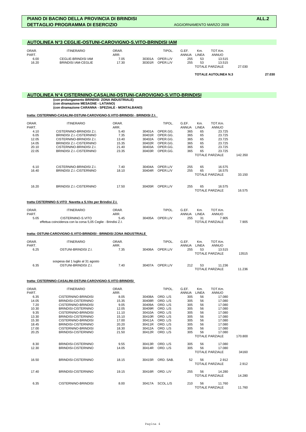| AUTOLINEA Nº3 CEGLIE-OSTUNI-CAROVIGNO-S.VITO-BRINDISI IAM |                                                                        |                                |                  |                                |                                     |                          |                                                                |        |        |  |
|-----------------------------------------------------------|------------------------------------------------------------------------|--------------------------------|------------------|--------------------------------|-------------------------------------|--------------------------|----------------------------------------------------------------|--------|--------|--|
| ORAR.<br>PART.<br>6.00<br>16.20                           | <b>ITINERARIO</b><br>CEGLIE-BRINDISI IAM<br><b>BRINDISI IAM-CEGLIE</b> | ORAR.<br>ARR.<br>7.05<br>17.30 | 30301A<br>30301R | TIPOL.<br>OPER.L/V<br>OPER.L/V | G.EF.<br><b>ANNUA</b><br>255<br>255 | Km.<br>LINEA<br>53<br>53 | TOT.Km.<br><b>ANNUO</b><br>13.515<br>13.515<br>TOTALE PARZIALE | 27.030 |        |  |
|                                                           |                                                                        |                                |                  |                                |                                     |                          | <b>TOTALE AUTOLINEA N.3</b>                                    |        | 27.030 |  |

# **AUTOLINEA N°4 CISTERNINO-CASALINI-OSTUNI-CAROVIGNO-S.VITO-BRINDISI**

 **(con prolungamento BRINDISI ZONA INDUSTRIALE) (con diramazione MESAGNE - LATIANO)**

 **(con diramazione CARANNA - SPEZIALE - MONTALBANO)**

### **tratta: CISTERNINO-CASALINI-OSTUNI-CAROVIGNO-S.VITO-BRINDISI - BRINDISI Z.I.**

| ORAR.<br>PART. | <b>ITINERARIO</b>                                                    | ORAR.<br>ARR. |        | TIPOL.   | G.EF.<br><b>ANNUA</b> | Km.<br>LINEA | TOT.Km.<br><b>ANNUO</b> |         |
|----------------|----------------------------------------------------------------------|---------------|--------|----------|-----------------------|--------------|-------------------------|---------|
| 4.10           | CISTERNINO-BRINDISI Z.I.                                             | 5.40          | 30401A | OPER.GG. | 365                   | 65           | 23.725                  |         |
| 6.05           | BRINDISI Z.I.-CISTERNINO                                             | 7.35          | 30401R | OPER.GG. | 365                   | 65           | 23.725                  |         |
| 12.05          | CISTERNINO-BRINDISI Z.I.                                             | 13.40         | 30402A | OPER.GG. | 365                   | 65           | 23.725                  |         |
| 14.05          | <b>BRINDISI Z.I.-CISTERNINO</b>                                      | 15.35         | 30402R | OPER.GG. | 365                   | 65           | 23.725                  |         |
| 20.10          | CISTERNINO-BRINDISI Z.I.                                             | 21.40         | 30403A | OPER.GG. | 365                   | 65           | 23.725                  |         |
| 22.05          | <b>BRINDISI Z.I.-CISTERNINO</b>                                      | 23.35         | 30403R | OPER.GG. | 365                   | 65           | 23.725                  |         |
|                |                                                                      |               |        |          |                       |              | <b>TOTALE PARZIALE</b>  | 142.350 |
|                |                                                                      |               |        |          |                       |              |                         |         |
| 6.10           | CISTERNINO-BRINDISI Z.I.                                             | 7.40          | 30404A | OPER.L/V | 255                   | 65           | 16.575                  |         |
| 16.40          | <b>BRINDISI Z.I.-CISTERNINO</b>                                      | 18.10         | 30404R | OPER.L/V | 255                   | 65           | 16.575                  |         |
|                |                                                                      |               |        |          |                       |              | <b>TOTALE PARZIALE</b>  | 33.150  |
|                |                                                                      |               |        |          |                       |              |                         |         |
| 16.20          | <b>BRINDISI Z.I.-CISTERNINO</b>                                      | 17.50         | 30405R | OPER.L/V | 255                   | 65           | 16.575                  |         |
|                |                                                                      |               |        |          |                       |              | <b>TOTALE PARZIALE</b>  | 16.575  |
|                |                                                                      |               |        |          |                       |              |                         |         |
|                | tratta CISTERNINO-S.VITO Navetta a S.Vito per Brindisi Z.I.          |               |        |          |                       |              |                         |         |
| ORAR.          | <b>ITINERARIO</b>                                                    | ORAR.         |        | TIPOL.   | G.EF.                 | Km.          | TOT.Km.                 |         |
| PART.          |                                                                      | ARR.          |        |          | <b>ANNUA</b>          | <b>LINEA</b> | <b>ANNUO</b>            |         |
| 5.05           | CISTERNINO-S.VITO                                                    | 5.45          | 30405A | OPER.L/V | 255                   | 31           | 7.905                   |         |
|                | effettua coincidenza con la corsa 5,05 Ceglie - Brindisi Z.I.        |               |        |          |                       |              | <b>TOTALE PARZIALE</b>  | 7.905   |
|                |                                                                      |               |        |          |                       |              |                         |         |
|                | tratta: OSTUNI-CAROVIGNO-S.VITO-BRINDISI - BRINDISI ZONA INDUSTRIALE |               |        |          |                       |              |                         |         |
| ORAR.          | <b>ITINERARIO</b>                                                    | ORAR.         |        | TIPOL.   | G.EF.                 | Km.          | TOT.Km.                 |         |
| PART.          |                                                                      | ARR.          |        |          | <b>ANNUA</b>          | <b>LINEA</b> | <b>ANNUO</b>            |         |
| 6.25           | OSTUNI-BRINDISI Z.I.                                                 | 7.35          | 30406A | OPER.L/V | 255                   | 53           | 13.515                  |         |
|                |                                                                      |               |        |          |                       |              | <b>TOTALE PARZIALE</b>  | 13515   |
|                |                                                                      |               |        |          |                       |              |                         |         |
|                | sospesa dal 1 luglio al 31 agosto                                    |               |        |          |                       |              |                         |         |
| 6.35           | OSTUNI-BRINDISI Z.I.                                                 | 7.40          | 30407A | OPER.L/V | 212                   | 53           | 11.236                  |         |
|                |                                                                      |               |        |          |                       |              | <b>TOTALE PARZIALE</b>  | 11.236  |
|                |                                                                      |               |        |          |                       |              |                         |         |

### **tratta: CISTERNINO-CASALINI-OSTUNI-CAROVIGNO-S.VITO-BRINDISI**

| ORAR.<br>PART. | <b>ITINERARIO</b>   | ORAR.<br>ARR. |        | TIPOL.    | G.EF.<br><b>ANNUA</b> | Km.<br><b>LINEA</b> | TOT.Km.<br><b>ANNUO</b> |         |
|----------------|---------------------|---------------|--------|-----------|-----------------------|---------------------|-------------------------|---------|
| 6.35           | CISTERNINO-BRINDISI | 8.05          | 30408A | ORD. L/S  | 305                   | 56                  | 17.080                  |         |
| 14.05          | BRINDISI-CISTERNINO | 15.35         | 30408R | ORD. L/S  | 305                   | 56                  | 17.080                  |         |
| 7.20           | CISTERNINO-BRINDISI | 9.05          | 30409A | ORD. L/S  | 305                   | 56                  | 17.080                  |         |
| 10.30          | BRINDISI-CISTERNINO | 12.05         | 30409R | ORD. L/S  | 305                   | 56                  | 17.080                  |         |
| 9.35           | CISTERNINO-BRINDISI | 11.10         | 30410A | ORD. L/S  | 305                   | 56                  | 17.080                  |         |
| 13.30          | BRINDISI-CISTERNINO | 15.10         | 30410R | ORD. L/S  | 305                   | 56                  | 17.080                  |         |
| 15.30          | CISTERNINO-BRINDISI | 17.00         | 30411A | ORD. L/S  | 305                   | 56                  | 17.080                  |         |
| 18.45          | BRINDISI-CISTERNINO | 20.20         | 30411R | ORD. L/S  | 305                   | 56                  | 17.080                  |         |
| 17.00          | CISTERNINO-BRINDISI | 18.30         | 30412A | ORD. L/S  | 305                   | 56                  | 17.080                  |         |
| 20.25          | BRINDISI-CISTERNINO | 21.50         | 30412R | ORD. L/S  | 305                   | 56                  | 17.080                  |         |
|                |                     |               |        |           |                       |                     | <b>TOTALE PARZIALE</b>  | 170.800 |
| 8.30           | BRINDISI-CISTERNINO | 9.55          | 30413R | ORD. L/S  | 305                   | 56                  | 17.080                  |         |
| 12.30          | BRINDISI-CISTERNINO | 14.05         | 30414R | ORD. L/S  | 305                   | 56                  | 17.080                  |         |
|                |                     |               |        |           |                       |                     | <b>TOTALE PARZIALE</b>  | 34160   |
| 16.50          | BRINDISI-CISTERNINO | 18.15         | 30415R | ORD, SAB. | 52                    | 56                  | 2.912                   |         |
|                |                     |               |        |           |                       |                     | <b>TOTALE PARZIALE</b>  | 2.912   |
| 17.40          | BRINDISI-CISTERNINO | 19.15         | 30416R | ORD. L/V  | 255                   | 56                  | 14.280                  |         |
|                |                     |               |        |           |                       |                     | <b>TOTALE PARZIALE</b>  | 14.280  |
| 6.35           | CISTERNINO-BRINDISI | 8.00          | 30417A | SCOL.L/S  | 210                   | 56                  | 11.760                  |         |
|                |                     |               |        |           |                       |                     | <b>TOTALE PARZIALE</b>  | 11.760  |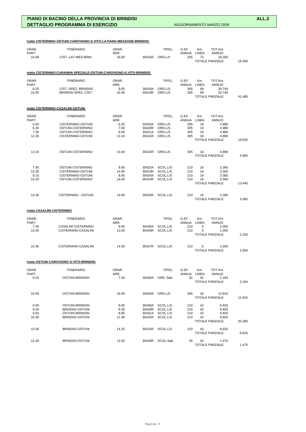| ORAR.<br>PART. | <b>ITINERARIO</b>                                                   | ORAR.<br>ARR. |                  | TIPOL.                             | G.EF.<br>ANNUA LINEA | Km.<br>TOT.Km.<br><b>ANNUO</b>        |        |
|----------------|---------------------------------------------------------------------|---------------|------------------|------------------------------------|----------------------|---------------------------------------|--------|
| 14.00          | CIST.-LAT-MES-BRIN.                                                 | 16.00         | 30418A           | ORD.L/V                            | 255                  | 72<br>18.360                          |        |
|                |                                                                     |               |                  |                                    |                      | <b>TOTALE PARZIALE</b>                | 18.360 |
|                | tratta CISTERNINO-CARANNA-SPEZIALE-OSTUNI-CAROVIGNO-S.VITO-BRINDISI |               |                  |                                    |                      |                                       |        |
| ORAR.          | <b>ITINERARIO</b>                                                   | ORAR.         |                  | TIPOL.                             | G.EF.                | Km.<br>TOT.Km.                        |        |
| PART.          |                                                                     | ARR.          |                  |                                    | ANNUA LINEA          | <b>ANNUO</b>                          |        |
| 6.20<br>14.05  | CIST.-SPEZ.-BRINDISI<br>BRINDISI-SPEZ.-CIST.                        | 8.05<br>15.45 | 30419A<br>30419R | ORD.L/S<br>ORD.L/S                 | 305<br>305           | 68<br>20.740<br>68<br>20.740          |        |
|                |                                                                     |               |                  |                                    |                      | <b>TOTALE PARZIALE</b>                | 41.480 |
|                | tratta CISTERNINO-CASALINI-OSTUNI                                   |               |                  |                                    |                      |                                       |        |
| ORAR.          | <b>ITINERARIO</b>                                                   | ORAR.         |                  | TIPOL.                             | G.EF.                | TOT.Km.<br>Km.                        |        |
| PART.          |                                                                     | ARR.          |                  |                                    | ANNUA LINEA          | <b>ANNUO</b>                          |        |
| 5.50<br>6.30   | CISTERNINO-OSTUNI<br>OSTUNI-CISTERNINO                              | 6.20<br>7.00  | 30420A<br>30420R | ORD.L/S<br>ORD.L/S                 | 305<br>305           | 16<br>4.880<br>16<br>4.880            |        |
| 7.30           | OSTUNI-CISTERNINO                                                   | 8.00          | 30421A           | ORD.L/S                            | 305                  | 16<br>4.880                           |        |
| 12.35          | CISTERNINO-OSTUNI                                                   | 13.10         | 30421R           | ORD.L/S                            | 305                  | 16<br>4.880                           |        |
|                |                                                                     |               |                  |                                    |                      | TOTALE PARZIALE                       | 19.520 |
| 13.10          | OSTUNI-CISTERNINO                                                   | 13.40         | 30422R           | ORD.L/S                            | 305                  | 16<br>4.880                           |        |
|                |                                                                     |               |                  |                                    |                      | <b>TOTALE PARZIALE</b>                | 4.880  |
| 7.30           | OSTUNI-CISTERNINO                                                   | 8.00          | 30423A           | SCOL.L/S                           | 210                  | 16<br>3.360                           |        |
| 13.30          | CISTERNINO-OSTUNI                                                   | 14.00         | 30423R           | SCOL.L/S                           | 210                  | 16<br>3.360                           |        |
| 8.15           | CISTERNINO-OSTUNI                                                   | 8.45          | 30424A           | SCOL.L/S                           | 210                  | 16<br>3.360                           |        |
| 14.10          | OSTUNI-CISTERNINO                                                   | 14.40         | 30424R           | SCOL.L/S                           | 210                  | 16<br>3.360                           |        |
|                |                                                                     |               |                  |                                    |                      | <b>TOTALE PARZIALE</b>                | 13.440 |
| 13.30          | CISTERNINO - OSTUNI                                                 | 14.00         | 30425R           | SCOL.L/S                           | 210                  | 16<br>3.360<br><b>TOTALE PARZIALE</b> |        |
|                |                                                                     |               |                  |                                    |                      |                                       | 3.360  |
|                | tratta CASALINI-CISTERNINO                                          |               |                  |                                    |                      |                                       |        |
| ORAR.          | <b>ITINERARIO</b>                                                   | ORAR.         |                  | TIPOL.                             | G.EF.                | TOT.Km.<br>Km.                        |        |
| PART.          |                                                                     | ARR.          |                  |                                    | <b>ANNUA</b>         | LINEA<br><b>ANNUO</b>                 |        |
| 7.45<br>13.35  | CASALINI-CISTERNINO<br>CISTERNINO-CASALINI                          | 8.00<br>13.50 | 30426A<br>30426R | SCOL.L/S<br>SCOL.L/S               | 210<br>210           | 5<br>1.050<br>5<br>1.050              |        |
|                |                                                                     |               |                  |                                    |                      | <b>TOTALE PARZIALE</b>                | 2.100  |
| 14.35          | CISTERNINO-CASALINI                                                 | 14.50         |                  | 30427R SCOL.L/S                    | 210                  | 5<br>1.050                            |        |
|                |                                                                     |               |                  |                                    |                      | <b>TOTALE PARZIALE</b>                | 1.050  |
|                | tratta OSTUNI-CAROVIGNO-S.VITO-BRINDISI                             |               |                  |                                    |                      |                                       |        |
| ORAR.          | <b>ITINERARIO</b>                                                   | ORAR.         |                  | TIPOL.                             | G.EF.                | Km.<br>TOT.Km.                        |        |
| PART.<br>6.25  | OSTUNI-BRINDISI                                                     | ARR.<br>7.40  | 30428A           | ORD. Sab.                          | ANNUA LINEA<br>52    | <b>ANNUO</b><br>42<br>2.184           |        |
|                |                                                                     |               |                  |                                    |                      | <b>TOTALE PARZIALE</b>                | 2.184  |
| 15.00          | OSTUNI-BRINDISI                                                     | 16.00         |                  | 30429A ORD.L/S                     | 305                  | 42<br>12.810                          |        |
|                |                                                                     |               |                  |                                    |                      | <b>TOTALE PARZIALE</b>                | 12.810 |
| 6.55           | OSTUNI-BRINDISI                                                     | 8.00          |                  | 30430A SCOL.L/S                    | 210                  | 42<br>8.820                           |        |
| 8.30           | <b>BRINDISI-OSTUNI</b>                                              | 9.30          |                  | 30430R SCOL.L/S                    | 210                  | 42<br>8.820                           |        |
| 6.55           | OSTUNI-BRINDISI                                                     | 8.00          |                  | 30431A SCOL.L/S<br>30431R SCOL.L/S | 210                  | 42<br>8.820<br>42                     |        |
| 10.30          | BRINDISI-OSTUNI                                                     | 11.30         |                  |                                    | 210                  | 8.820<br><b>TOTALE PARZIALE</b>       | 35.280 |
| 13.30          | BRINDISI-OSTUNI                                                     | 14.35         |                  | 30432R SCOL.L/S                    | 210                  | 42<br>8.820                           |        |
|                |                                                                     |               |                  |                                    |                      | <b>TOTALE PARZIALE</b>                | 8.820  |
| 12.30          | BRINDISI-OSTUNI                                                     | 13.30         |                  | 30433R SCOL.Sab.                   | 35                   | 42<br>1.470<br><b>TOTALE PARZIALE</b> | 1.470  |
|                |                                                                     |               |                  |                                    |                      |                                       |        |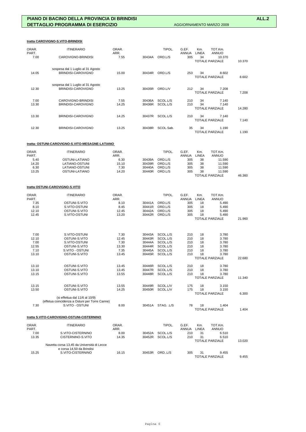### **tratta CAROVIGNO-S.VITO-BRINDISI**

| ORAR.<br>PART.<br>7.00 | <b>ITINERARIO</b><br>CAROVIGNO-BRINDISI                 | ORAR.<br>ARR.<br>7.55 | 30434A           | TIPOL.<br>ORD.L/S    | G.EF.<br><b>ANNUA</b><br>305 | Km.<br>LINEA<br>34 | TOT.Km.<br><b>ANNUO</b><br>10.370<br><b>TOTALE PARZIALE</b> | 10.370 |
|------------------------|---------------------------------------------------------|-----------------------|------------------|----------------------|------------------------------|--------------------|-------------------------------------------------------------|--------|
| 14.05                  | sospesa dal 1 Luglio al 31 Agosto<br>BRINDISI-CAROVIGNO | 15.00                 | 30434R           | ORD.L/S              | 253                          | 34                 | 8.602<br><b>TOTALE PARZIALE</b>                             | 8.602  |
| 12.30                  | sospesa dal 1 Luglio al 31 Agosto<br>BRINDISI-CAROVIGNO | 13.25                 | 30435R           | ORD.L/V              | 212                          | 34                 | 7.208<br><b>TOTALE PARZIALE</b>                             | 7.208  |
| 7.00<br>13.30          | CAROVIGNO-BRINDISI<br>BRINDISI-CAROVIGNO                | 7.55<br>14.25         | 30436A<br>30436R | SCOL.L/S<br>SCOL.L/S | 210<br>210                   | 34<br>34           | 7.140<br>7.140<br><b>TOTALE PARZIALE</b>                    | 14.280 |
| 13.30                  | BRINDISI-CAROVIGNO                                      | 14.25                 | 30437R           | SCOL.L/S             | 210                          | 34                 | 7.140<br><b>TOTALE PARZIALE</b>                             | 7.140  |
| 12.30                  | BRINDISI-CAROVIGNO                                      | 13.25                 | 30438R           | SCOL.Sab.            | 35                           | 34                 | 1.190<br><b>TOTALE PARZIALE</b>                             | 1.190  |

### **tratta: OSTUNI-CAROVIGNO-S.VITO-MESAGNE-LATIANO**

| ORAR. | <b>ITINERARIO</b> | ORAR. |        | TIPOL.  | G.EF  | Km.   | TOT.Km.                |        |
|-------|-------------------|-------|--------|---------|-------|-------|------------------------|--------|
| PART. |                   | ARR.  |        |         | ANNUA | LINEA | ANNUO                  |        |
| 5.40  | OSTUNI-LATIANO    | 6.30  | 30439A | ORD.L/S | 305   | 38    | 11.590                 |        |
| 14.20 | LATIANO-OSTUNI    | 15.10 | 30439R | ORD.L/S | 305   | 38    | 11.590                 |        |
| 6.30  | LATIANO-OSTUNI    | 7.30  | 30440A | ORD.L/S | 305   | 38    | 11.590                 |        |
| 13.25 | OSTUNI-LATIANO    | 14.20 | 30440R | ORD.L/S | 305   | 38    | 11.590                 |        |
|       |                   |       |        |         |       |       | <b>TOTALE PARZIALE</b> | 46.360 |

### **tratta OSTUNI-CAROVIGNO-S.VITO**

| ORAR.<br>PART. | <b>ITINERARIO</b>                                                       | ORAR.<br>ARR. |        | TIPOL.     | G.EF.<br><b>ANNUA</b> | Km.<br><b>LINEA</b> | TOT.Km.<br><b>ANNUO</b> |        |
|----------------|-------------------------------------------------------------------------|---------------|--------|------------|-----------------------|---------------------|-------------------------|--------|
| 7.35           | OSTUNI-S.VITO                                                           | 8.10          | 30441A | ORD.L/S    | 305                   | 18                  | 5.490                   |        |
| 8.10           | S.VITO-OSTUNI                                                           | 8.45          | 30441R | ORD.L/S    | 305                   | 18                  | 5.490                   |        |
| 12.10          | OSTUNI-S.VITO                                                           | 12.45         | 30442A | ORD.L/S    | 305                   | 18                  | 5.490                   |        |
| 12.45          | S.VITO-OSTUNI                                                           | 13.20         | 30442R | ORD.L/S    | 305                   | 18                  | 5.490                   |        |
|                |                                                                         |               |        |            |                       |                     | <b>TOTALE PARZIALE</b>  | 21.960 |
|                |                                                                         |               |        |            |                       |                     |                         |        |
| 7.00           | S.VITO-OSTUNI                                                           | 7.30          | 30443A | SCOL.L/S   | 210                   | 18                  | 3.780                   |        |
| 12.10          | OSTUNI-S.VITO                                                           | 12.45         | 30443R | SCOL.L/S   | 210                   | 18                  | 3.780                   |        |
| 7.00           | S.VITO-OSTUNI                                                           | 7.30          | 30444A | SCOL.L/S   | 210                   | 18                  | 3.780                   |        |
| 12.55          | OSTUNI-S.VITO                                                           | 13.30         | 30444R | SCOL.L/S   | 210                   | 18                  | 3.780                   |        |
| 7.10           | S.VITO - OSTUNI                                                         | 7.35          | 30445A | SCOL.L/S   | 210                   | 18                  | 3.780                   |        |
| 13.10          | OSTUNI-S.VITO                                                           | 13.45         | 30445R | SCOL.L/S   | 210                   | 18                  | 3.780                   |        |
|                |                                                                         |               |        |            |                       |                     | <b>TOTALE PARZIALE</b>  | 22.680 |
| 13.10          | OSTUNI-S.VITO                                                           | 13.45         | 30446R | SCOL.L/S   | 210                   | 18                  | 3.780                   |        |
| 13.10          | OSTUNI-S.VITO                                                           | 13.45         | 30447R | SCOL.L/S   | 210                   | 18                  | 3.780                   |        |
| 13.15          | OSTUNI-S.VITO                                                           | 13.55         | 30448R | SCOL.L/S   | 210                   | 18                  | 3.780                   |        |
|                |                                                                         |               |        |            |                       |                     | <b>TOTALE PARZIALE</b>  | 11.340 |
| 13.15          | OSTUNI-S.VITO                                                           | 13.55         | 30449R | SCOL.L/V   | 175                   | 18                  | 3.150                   |        |
| 13.50          | OSTUNI-S.VITO                                                           | 14.25         | 30450R | SCOL.L/V   | 175                   | 18                  | 3.150                   |        |
|                |                                                                         |               |        |            |                       |                     | <b>TOTALE PARZIALE</b>  | 6.300  |
|                | (si effettua dal 11/6 al 10/9)                                          |               |        |            |                       |                     |                         |        |
|                | (effetua coincidenza a Ostuni per Torre Canne)                          |               |        |            |                       |                     |                         |        |
| 7.30           | S.VITO - OSTUNI                                                         | 8.00          | 30451A | STAG. .L/S | 78                    | 18                  | 1.404                   |        |
|                |                                                                         |               |        |            |                       |                     | <b>TOTALE PARZIALE</b>  | 1.404  |
|                | tratta S.VITO-CAROVIGNO-OSTUNI-CISTERNINO                               |               |        |            |                       |                     |                         |        |
| ORAR.          | <b>ITINERARIO</b>                                                       | ORAR.         |        | TIPOL.     | G.EF.                 | Km.                 | TOT.Km.                 |        |
| PART.<br>7.00  | S.VITO-CISTERNINO                                                       | ARR.<br>8.00  | 30452A | SCOL.L/S   | <b>ANNUA</b><br>210   | <b>LINEA</b><br>31  | <b>ANNUO</b><br>6.510   |        |
| 13.35          | CISTERNINO-S.VITO                                                       | 14.35         | 30452R | SCOL.L/S   | 210                   | 31                  | 6.510                   |        |
|                |                                                                         |               |        |            |                       |                     | <b>TOTALE PARZIALE</b>  | 13.020 |
|                | Navetta corsa 13,45 da Università di Lecce<br>e corsa 14,50 da Brindisi |               |        |            |                       |                     |                         |        |
| 15.25          | S.VITO-CISTERNINO                                                       | 16.15         | 30453R | ORDL/S     | 305                   | 31                  | 9.455                   |        |

15.25 S.VITO-CISTERNINO 16.15 30453R ORD..L/S 305 31 9.455 TOTALE PARZIALE 9.455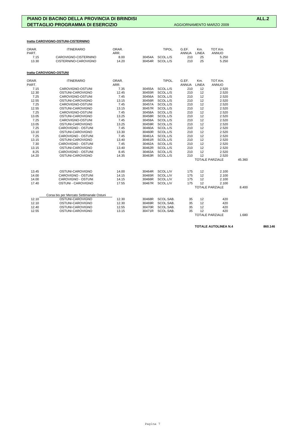# **tratta CAROVIGNO-OSTUNI-CISTERNINO**

| ORAR.<br>PART. | <b>ITINERARIO</b>                        | ORAR.<br>ARR. |        | TIPOL.    | G.EF.<br>ANNUA | Km.<br>LINEA | TOT.Km.<br><b>ANNUO</b> |        |
|----------------|------------------------------------------|---------------|--------|-----------|----------------|--------------|-------------------------|--------|
| 7.15           | CAROVIGNO-CISTERNINO                     | 8.00          | 30454A | SCOL.L/S  | 210            | 25           | 5.250                   |        |
| 13.30          | CISTERNINO-CAROVIGNO                     | 14.20         | 30454R | SCOL.L/S  | 210            | 25           | 5.250                   |        |
|                | tratta CAROVIGNO-OSTUNI                  |               |        |           |                |              |                         |        |
| ORAR.<br>PART. | <b>ITINERARIO</b>                        | ORAR.<br>ARR. |        | TIPOL.    | G.EF.<br>ANNUA | Km.<br>LINEA | TOT.Km.<br><b>ANNUO</b> |        |
| 7.15           | CAROVIGNO-OSTUNI                         | 7.35          | 30455A | SCOL.L/S  | 210            | 12           | 2.520                   |        |
| 12.30          | OSTUNI-CAROVIGNO                         | 12.45         | 30455R | SCOL.L/S  | 210            | 12           | 2.520                   |        |
| 7.25           | CAROVIGNO-OSTUNI                         | 7.45          | 30456A | SCOL.L/S  | 210            | 12           | 2.520                   |        |
| 12.55          | OSTUNI-CAROVIGNO                         | 13.15         | 30456R | SCOL.L/S  | 210            | 12           | 2.520                   |        |
| 7.25           | CAROVIGNO-OSTUNI                         | 7.45          | 30457A | SCOL.L/S  | 210            | 12           | 2.520                   |        |
| 12.55          | OSTUNI-CAROVIGNO                         | 13.15         | 30457R | SCOL.L/S  | 210            | 12           | 2.520                   |        |
| 7.25           | CAROVIGNO-OSTUNI                         | 7.45          | 30458A | SCOL.L/S  | 210            | 12           | 2.520                   |        |
| 13.05          | OSTUNI-CAROVIGNO                         | 13.25         | 30458R | SCOL.L/S  | 210            | 12           | 2.520                   |        |
| 7.25           | CAROVIGNO-OSTUNI                         | 7.45          | 30459A | SCOL.L/S  | 210            | 12           | 2.520                   |        |
| 13.05          | OSTUNI-CAROVIGNO                         | 13.25         | 30459R | SCOL.L/S  | 210            | 12           | 2.520                   |        |
| 7.25           | CAROVIGNO - OSTUNI                       | 7.45          | 30460A | SCOL.L/S  | 210            | 12           | 2.520                   |        |
| 13.10          | OSTUNI-CAROVIGNO                         | 13.30         | 30460R | SCOL.L/S  | 210            | 12           | 2.520                   |        |
| 7.25           | CAROVIGNO - OSTUNI                       | 7.45          | 30461A | SCOL.L/S  | 210            | 12           | 2.520                   |        |
| 13.15          | OSTUNI-CAROVIGNO                         | 13.40         | 30461R | SCOL.L/S  | 210            | 12           | 2.520                   |        |
| 7.30           | CAROVIGNO - OSTUNI                       | 7.45          | 30462A | SCOL.L/S  | 210            | 12           | 2.520                   |        |
| 13.15          | OSTUNI-CAROVIGNO                         | 13.40         | 30462R | SCOL.L/S  | 210            | 12           | 2.520                   |        |
| 8.25           | CAROVIGNO - OSTUNI                       | 8.45          | 30463A | SCOL.L/S  | 210            | 12           | 2.520                   |        |
| 14.20          | OSTUNI-CAROVIGNO                         | 14.35         | 30463R | SCOL.L/S  | 210            | 12           | 2.520                   |        |
|                |                                          |               |        |           |                |              | <b>TOTALE PARZIALE</b>  | 45.360 |
| 13.45          | OSTUNI-CAROVIGNO                         | 14.00         | 30464R | SCOL.L/V  | 175            | 12           | 2.100                   |        |
| 14.00          | CAROVIGNO - OSTUNI                       | 14.15         | 30465R | SCOL.L/V  | 175            | 12           | 2.100                   |        |
| 14.00          | CAROVIGNO - OSTUNI                       | 14.15         | 30466R | SCOL.L/V  | 175            | 12           | 2.100                   |        |
| 17.40          | OSTUNI - CAROVIGNO                       | 17.55         | 30467R | SCOL.L/V  | 175            | 12           | 2.100                   |        |
|                |                                          |               |        |           |                |              | <b>TOTALE PARZIALE</b>  | 8.400  |
|                | Corsa bis per Mercato Settimanale Ostuni |               |        |           |                |              |                         |        |
| 12.10          | OSTUNI-CAROVIGNO                         | 12.30         | 30468R | SCOL.SAB. | 35             | 12           | 420                     |        |
| 12.10          | OSTUNI-CAROVIGNO                         | 12.30         | 30469R | SCOL.SAB. | 35             | 12           | 420                     |        |
| 12.40          | OSTUNI-CAROVIGNO                         | 12.55         | 30470R | SCOL.SAB. | 35             | 12           | 420                     |        |
| 12.55          | OSTUNI-CAROVIGNO                         | 13.15         | 30471R | SCOL.SAB. | 35             | 12           | 420                     |        |
|                |                                          |               |        |           |                |              | <b>TOTALE PARZIALE</b>  | 1.680  |

TOTALE AUTOLINEA N.4 860.146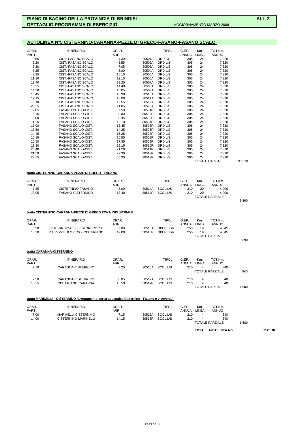# **AUTOLINEA N°5 CISTERNINO-CARANNA-PEZZE DI GRECO-FASANO-FASANO SCALO**

| ORAR.<br>PART. | <b>ITINERARIO</b>                                                                             | ORAR.<br>ARR. |                  | TIPOL.                   | G.EF.<br>ANNUA | Km.<br>LINEA | TOT.Km.<br><b>ANNUO</b>       |         |         |
|----------------|-----------------------------------------------------------------------------------------------|---------------|------------------|--------------------------|----------------|--------------|-------------------------------|---------|---------|
| 3.55           | CIST.-FASANO SCALO                                                                            | 4.30          | 30501A           | ORD.L/S                  | 305            | 24           | 7.320                         |         |         |
| 5.20           | CIST.-FASANO SCALO                                                                            | 5.55          | 30502A           | ORD.L/S                  | 305            | 24           | 7.320                         |         |         |
| 6.30<br>7.25   | CIST.-FASANO SCALO<br>CIST.-FASANO SCALO                                                      | 7.05<br>8.00  | 30503A<br>30504A | ORD.L/S<br>ORD.L/S       | 305<br>305     | 24<br>24     | 7.320<br>7.320                |         |         |
| 9.25           | CIST.-FASANO SCALO                                                                            | 10.10         | 30505A           | ORD.L/S                  | 305            | 24           | 7.320                         |         |         |
| 11.30          | CIST.-FASANO SCALO                                                                            | 12.10         | 30506A           | ORD.L/S                  | 305            | 24           | 7.320                         |         |         |
| 12.40          | CIST.-FASANO SCALO                                                                            | 13.25         | 30507A           | ORD.L/S                  | 305            | 24           | 7.320                         |         |         |
| 13.55          | CIST.-FASANO SCALO                                                                            | 14.40         | 30508A           | ORD.L/S                  | 305            | 24           | 7.320                         |         |         |
| 14.20          | CIST.-FASANO SCALO                                                                            | 15.05         | 30509A           | ORD.L/S                  | 305            | 24           | 7.320                         |         |         |
| 15.45          | CIST.-FASANO SCALO                                                                            | 16.30         | 30510A           | ORD.L/S                  | 305            | 24           | 7.320                         |         |         |
| 17.15          | CIST.-FASANO SCALO                                                                            | 18.00         | 30511A           | ORD.L/S                  | 305            | 24           | 7.320                         |         |         |
| 19.10          | CIST.-FASANO SCALO                                                                            | 19.55         | 30512A           | ORD.L/S                  | 305            | 24           | 7.320                         |         |         |
| 20.25          | CIST.-FASANO SCALO                                                                            | 21.05         | 30513A           | ORD.L/S                  | 305            | 24           | 7.320                         |         |         |
| 7.05           | FASANO SCALO-CIST.                                                                            | 7.50          | 30501R           | ORD.L/S                  | 305            | 24           | 7.320                         |         |         |
| 8.15           | FASANO SCALO-CIST.                                                                            | 9.00          | 30502R           | ORD.L/S                  | 305            | 24           | 7.320                         |         |         |
| 9.00<br>11.25  | FASANO SCALO-CIST.<br>FASANO SCALO-CIST.                                                      | 9.45<br>12.10 | 30503R<br>30504R | ORD.L/S<br>ORD.L/S       | 305<br>305     | 24<br>24     | 7.320<br>7.320                |         |         |
| 13.00          | FASANO SCALO-CIST.                                                                            | 13.45         | 30505R           | ORD.L/S                  | 305            | 24           | 7.320                         |         |         |
| 13.50          | FASANO SCALO-CIST.                                                                            | 14.35         | 30506R           | ORD.L/S                  | 305            | 24           | 7.320                         |         |         |
| 14.45          | FASANO SCALO-CIST.                                                                            | 15.25         | 30507R           | ORD.L/S                  | 305            | 24           | 7.320                         |         |         |
| 15.15          | FASANO SCALO-CIST.                                                                            | 15.55         | 30508R           | ORD.L/S                  | 305            | 24           | 7.320                         |         |         |
| 16.50          | FASANO SCALO-CIST.                                                                            | 17.35         | 30509R           | ORD.L/S                  | 305            | 24           | 7.320                         |         |         |
| 18.30          | FASANO SCALO-CIST.                                                                            | 19.15         | 30510R           | ORD.L/S                  | 305            | 24           | 7.320                         |         |         |
| 20.40          | <b>FASANO SCALO-CIST.</b>                                                                     | 21.20         | 30511R           | ORD.L/S                  | 305            | 24           | 7.320                         |         |         |
| 21.50          | FASANO SCALO-CIST.                                                                            | 22.30         | 30512R           | ORD.L/S                  | 305            | 24           | 7.320                         |         |         |
| 23.55          | FASANO SCALO-CIST.                                                                            | 0.30          | 30513R           | ORD.L/S                  | 305            | 24           | 7.320                         |         |         |
|                |                                                                                               |               |                  |                          |                |              | <b>TOTALE PARZIALE</b>        | 190.320 |         |
|                | tratta CISTERNINO-CARANNA-PEZZE DI GRECO - FASANO                                             |               |                  |                          |                |              |                               |         |         |
| ORAR.          | <b>ITINERARIO</b>                                                                             | ORAR.         |                  | TIPOL.                   | G.EF.          | Km.          | TOT.Km.                       |         |         |
| PART.          |                                                                                               | ARR.          |                  |                          | ANNUA          | LINEA        | ANNUO                         |         |         |
| 7.25           | CISTERNINO-FASANO<br>FASANO-CISTERNINO                                                        | 8.00          | 30514A<br>30514R | SCOL.L/S                 | 210<br>210     | 20<br>20     | 4.200<br>4.200                |         |         |
| 13.05          |                                                                                               | 13.40         |                  | SCOL.L/S                 |                |              | TOTALE PARZIALE               |         |         |
|                |                                                                                               |               |                  |                          |                |              |                               | 8.400   |         |
|                | tratta CISTERNINO-CARANNA-PEZZE DI GRECO ZONA INDUSTRIALE                                     |               |                  |                          |                |              |                               |         |         |
| ORAR.          | <b>ITINERARIO</b>                                                                             | ORAR.         |                  | TIPOL.                   | G.EF.          | Km.          | TOT.Km.                       |         |         |
| PART.          |                                                                                               | ARR.          |                  |                          | ANNUA          | LINEA        | ANNUO                         |         |         |
| 6.30<br>16.30  | CISTERNINO-PEZZE DI GRECO Z.I.<br>Z.I. PEZZE DI GRECO -CISTERNINO                             | 7.00<br>17.00 | 30515A<br>30515R | OPER. .L/V<br>OPER. .L/V | 255<br>255     | 19<br>19     | 4.845<br>4.845                |         |         |
|                |                                                                                               |               |                  |                          |                |              | TOTALE PARZIALE               |         |         |
|                |                                                                                               |               |                  |                          |                |              |                               | 9.690   |         |
|                | tratta CARANNA-CISTERNINO                                                                     |               |                  |                          |                |              |                               |         |         |
| ORAR.          | <b>ITINERARIO</b>                                                                             | ORAR.         |                  | TIPOL.                   | G.EF.          | Km.          | TOT.Km.                       |         |         |
| PART.          |                                                                                               | ARR.          |                  |                          | ANNUA          | LINEA        | <b>ANNUO</b>                  |         |         |
| 7.10           | CARANNA-CISTERNINO                                                                            | 7.20          | 30516A           | SCOL.L/S                 | 210            | 4            | 840<br><b>TOTALE PARZIALE</b> | 840     |         |
| 7.50           | CARANNA-CISTERNINO                                                                            | 8.05          |                  | 30517A SCOL.L/S          | 210            | 4            | 840                           |         |         |
| 13.35          | CISTERNINO-CARANNA                                                                            | 13.50         |                  | 30517R SCOL.L/S          | 210            | 4            | 840                           |         |         |
|                |                                                                                               |               |                  |                          |                |              | TOTALE PARZIALE               | 1.680   |         |
|                |                                                                                               |               |                  |                          |                |              |                               |         |         |
|                | tratta MARINELLI - CISTERNINO (arretramento corsa scolastica Cisternino - Fasano e viceversa) |               |                  |                          |                |              |                               |         |         |
| ORAR.          | <b>ITINERARIO</b>                                                                             | ORAR.         |                  | TIPOL.                   | G.EF.          | Km.          | TOT.Km.                       |         |         |
| PART.          |                                                                                               | ARR.          |                  |                          | ANNUA          | LINEA        | <b>ANNUO</b>                  |         |         |
| 7.00           | MARINELLI-CISTERNINO                                                                          | 7.15          |                  | 30518A SCOL.L/S          | 210            | 4            | 840                           |         |         |
| 14.00          | CISTERNINO-MARINELLI                                                                          | 14.15         |                  | 30518R SCOL.L/S          | 210            | 4            | 840                           |         |         |
|                |                                                                                               |               |                  |                          |                |              | <b>TOTALE PARZIALE</b>        | 1.680   |         |
|                |                                                                                               |               |                  |                          |                |              |                               |         |         |
|                |                                                                                               |               |                  |                          |                |              | <b>TOTALE AUTOLINEA N.5</b>   |         | 212.610 |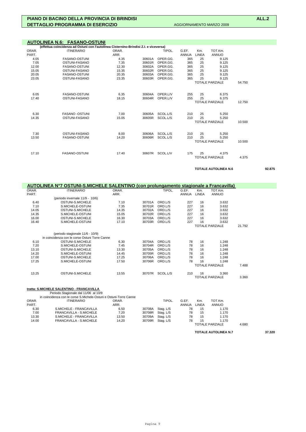**TOTALE AUTOLINEA N.6 92.875** 

|       | (effettua coincidenza ad Ostuni con l'autolinea Cisternino-Brindisi Z.I. e viceversa) |       |        |          |              |       |                        |        |
|-------|---------------------------------------------------------------------------------------|-------|--------|----------|--------------|-------|------------------------|--------|
| ORAR. | <b>ITINERARIO</b>                                                                     | ORAR. |        | TIPOL.   | G.EF.        | Km.   | TOT.Km.                |        |
| PART. |                                                                                       | ARR.  |        |          | <b>ANNUA</b> | LINEA | <b>ANNUO</b>           |        |
| 4.05  | <b>FASANO-OSTUNI</b>                                                                  | 4.35  | 30601A | OPER.GG. | 365          | 25    | 9.125                  |        |
| 7.05  | OSTUNI-FASANO                                                                         | 7.35  | 30601R | OPER.GG. | 365          | 25    | 9.125                  |        |
| 12.00 | <b>FASANO-OSTUNI</b>                                                                  | 12.30 | 30602A | OPER.GG. | 365          | 25    | 9.125                  |        |
| 15.05 | OSTUNI-FASANO                                                                         | 15.35 | 30602R | OPER.GG. | 365          | 25    | 9.125                  |        |
| 20.05 | <b>FASANO-OSTUNI</b>                                                                  | 20.35 | 30603A | OPER.GG. | 365          | 25    | 9.125                  |        |
| 23.05 | OSTUNI-FASANO                                                                         | 23.35 | 30603R | OPER.GG. | 365          | 25    | 9.125                  |        |
|       |                                                                                       |       |        |          |              |       | <b>TOTALE PARZIALE</b> | 54.750 |
| 6.05  | <b>FASANO-OSTUNI</b>                                                                  | 6.35  | 30604A | OPER.L/V | 255          | 25    | 6.375                  |        |
| 17.40 | OSTUNI-FASANO                                                                         | 18.15 | 30604R | OPER.L/V | 255          | 25    | 6.375                  |        |
|       |                                                                                       |       |        |          |              |       | <b>TOTALE PARZIALE</b> | 12.750 |
| 6.30  | <b>FASANO -OSTUNI</b>                                                                 | 7.00  | 30605A | SCOL.L/S | 210          | 25    | 5.250                  |        |
| 14.35 | OSTUNI-FASANO                                                                         | 15.05 | 30605R | SCOL.L/S | 210          | 25    | 5.250                  |        |
|       |                                                                                       |       |        |          |              |       | <b>TOTALE PARZIALE</b> | 10.500 |
| 7.30  | OSTUNI-FASANO                                                                         | 8.00  | 30606A | SCOL.L/S | 210          | 25    | 5.250                  |        |
| 13.50 | <b>FASANO-OSTUNI</b>                                                                  | 14.20 | 30606R | SCOL.L/S | 210          | 25    | 5.250                  |        |
|       |                                                                                       |       |        |          |              |       | <b>TOTALE PARZIALE</b> | 10.500 |
| 17.10 | <b>FASANO-OSTUNI</b>                                                                  | 17.40 | 30607R | SCOL.L/V | 175          | 25    | 4.375                  |        |
|       |                                                                                       |       |        |          |              |       | <b>TOTALE PARZIALE</b> | 4.375  |

|       | AUTOLINEA N°7 OSTUNI-S.MICHELE SALENTINO (con prolungamento stagionale a Francavilla) |       |        |          |              |              |                        |        |
|-------|---------------------------------------------------------------------------------------|-------|--------|----------|--------------|--------------|------------------------|--------|
| ORAR. | <b>ITINERARIO</b>                                                                     | ORAR. |        | TIPOL.   | G.EF.        | Km.          | TOT.Km.                |        |
| PART. |                                                                                       | ARR.  |        |          | <b>ANNUA</b> | <b>LINEA</b> | <b>ANNUO</b>           |        |
|       | (periodo invernale 11/9 - 10/6)                                                       |       |        |          |              |              |                        |        |
| 6.40  | OSTUNI-S.MICHELE                                                                      | 7.10  | 30701A | ORD.L/S  | 227          | 16           | 3.632                  |        |
| 7.10  | S.MICHELE-OSTUNI                                                                      | 7.35  | 30701R | ORD.L/S  | 227          | 16           | 3.632                  |        |
| 14.05 | OSTUNI-S.MICHELE                                                                      | 14.35 | 30702A | ORD.L/S  | 227          | 16           | 3.632                  |        |
| 14.35 | S.MICHELE-OSTUNI                                                                      | 15.05 | 30702R | ORD.L/S  | 227          | 16           | 3.632                  |        |
| 16.00 | OSTUNI-S.MICHELE                                                                      | 16.30 | 30703A | ORD.L/S  | 227          | 16           | 3.632                  |        |
| 16.40 | S.MICHELE-OSTUNI                                                                      | 17.10 | 30703R | ORD.L/S  | 227          | 16           | 3.632                  |        |
|       |                                                                                       |       |        |          |              |              | <b>TOTALE PARZIALE</b> | 21.792 |
|       | (periodo stagionale 11/6 - 10/9)                                                      |       |        |          |              |              |                        |        |
|       | in coincidenza con le corse Ostuni Torre Canne                                        |       |        |          |              |              |                        |        |
| 6.10  | OSTUNI-S.MICHELE                                                                      | 6.30  | 30704A | ORD.L/S  | 78           | 16           | 1.248                  |        |
| 7.20  | S.MICHELE-OSTUNI                                                                      | 7.45  | 30704R | ORD.L/S  | 78           | 16           | 1.248                  |        |
| 13.10 | OSTUNI-S.MICHELE                                                                      | 13.30 | 30705A | ORD.L/S  | 78           | 16           | 1.248                  |        |
| 14.20 | S.MICHELE-OSTUNI                                                                      | 14.45 | 30705R | ORD.L/S  | 78           | 16           | 1.248                  |        |
| 17.00 | OSTUNI-S.MICHELE                                                                      | 17.25 | 30706A | ORD.L/S  | 78           | 16           | 1.248                  |        |
| 17.25 | S.MICHELE-OSTUNI                                                                      | 17.50 | 30706R | ORD.L/S  | 78           | 16           | 1.248                  |        |
|       |                                                                                       |       |        |          |              |              | <b>TOTALE PARZIALE</b> | 7.488  |
| 13.25 | OSTUNI-S.MICHELE                                                                      | 13.55 | 30707R | SCOL.L/S | 210          | 16           | 3.360                  |        |
|       |                                                                                       |       |        |          |              |              | <b>TOTALE PARZIALE</b> | 3.360  |

|       | tratta: S.MICHELE SALENTINO - FRANCAVILLA                         |       |        |           |              |       |                        |       |  |
|-------|-------------------------------------------------------------------|-------|--------|-----------|--------------|-------|------------------------|-------|--|
|       | Periodo Stagionale dal 11/06 al 10/9                              |       |        |           |              |       |                        |       |  |
|       | in coincidenza con le corse S.Michele-Ostuni e Ostuni-Torre Canne |       |        |           |              |       |                        |       |  |
| ORAR. | ITINERARIO                                                        | ORAR. |        | TIPOL.    | G.EF.        | Km.   | TOT.Km.                |       |  |
| PART. |                                                                   | ARR.  |        |           | <b>ANNUA</b> | LINEA | <b>ANNUO</b>           |       |  |
| 6.30  | S.MICHELE - FRANCAVILLA                                           | 6.50  | 30708A | Stag. L/S | 78           | 15    | 1.170                  |       |  |
| 7.00  | FRANCAVILLA - S.MICHELE                                           | 7.20  | 30708R | Stag. L/S | 78           | 15    | 1.170                  |       |  |
| 13.30 | S.MICHELE - FRANCAVILLA                                           | 13.50 | 30709A | Stag. L/S | 78           | 15    | 1.170                  |       |  |
| 14.00 | FRANCAVILLA - S.MICHELE                                           | 14.20 | 30709R | Stag, L/S | 78           | 15    | 1.170                  |       |  |
|       |                                                                   |       |        |           |              |       | <b>TOTALE PARZIALE</b> | 4.680 |  |

### **TOTALE AUTOLINEA N.7 37.320**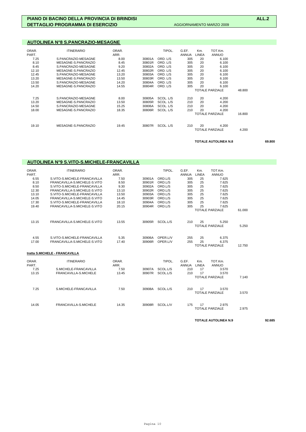| AUTOLINEA N°8 S.PANCRAZIO-MESAGNE |  |
|-----------------------------------|--|
|-----------------------------------|--|

| ORAR.<br>PART. | <b>ITINERARIO</b>   | ORAR.<br>ARR. |        | TIPOL.    | G.EF.<br><b>ANNUA</b> | Km.<br>LINEA | TOT.Km.<br><b>ANNUO</b> |        |
|----------------|---------------------|---------------|--------|-----------|-----------------------|--------------|-------------------------|--------|
| 7.25           | S.PANCRAZIO-MESAGNE | 8.00          | 30801A | ORD, L/S  | 305                   | 20           | 6.100                   |        |
| 8.10           | MESAGNE-S.PANCRAZIO | 8.45          | 30801R | ORD, L/S  | 305                   | 20           | 6.100                   |        |
| 8.45           | S.PANCRAZIO-MESAGNE | 9.20          | 30802A | ORD. L/S  | 305                   | 20           | 6.100                   |        |
| 12.10          | MESAGNE-S.PANCRAZIO | 12.45         | 30802R | ORD. L/S  | 305                   | 20           | 6.100                   |        |
| 12.45          | S.PANCRAZIO-MESAGNE | 13.20         | 30803A | ORD. L/S  | 305                   | 20           | 6.100                   |        |
| 13.20          | MESAGNE-S.PANCRAZIO | 13.50         | 30803R | ORD. L/S  | 305                   | 20           | 6.100                   |        |
| 13.50          | S.PANCRAZIO-MESAGNE | 14.20         | 30804A | ORD. L/S  | 305                   | 20           | 6.100                   |        |
| 14.20          | MESAGNE-S.PANCRAZIO | 14.55         | 30804R | ORD. L/S  | 305                   | 20           | 6.100                   |        |
|                |                     |               |        |           |                       |              | <b>TOTALE PARZIALE</b>  | 48.800 |
| 7.25           | S.PANCRAZIO-MESAGNE | 8.00          | 30805A | SCOL. L/S | 210                   | 20           | 4.200                   |        |
| 13.20          | MESAGNE-S.PANCRAZIO | 13.50         | 30805R | SCOL. L/S | 210                   | 20           | 4.200                   |        |
| 14.50          | S.PANCRAZIO-MESAGNE | 15.25         | 30806A | SCOL. L/S | 210                   | 20           | 4.200                   |        |
| 18.00          | MESAGNE-S.PANCRAZIO | 18.35         | 30806R | SCOL. L/S | 210                   | 20           | 4.200                   |        |
|                |                     |               |        |           |                       |              | <b>TOTALE PARZIALE</b>  | 16,800 |
| 19.10          | MESAGNE-S.PANCRAZIO | 19.45         | 30807R | SCOL. L/S | 210                   | 20           | 4.200                   |        |
|                |                     |               |        |           |                       |              | <b>TOTALE PARZIALE</b>  | 4.200  |

**TOTALE AUTOLINEA N.8 69.800** 

|                | <b>AUTOLINEA N°9 S.VITO-S.MICHELE-FRANCAVILLA</b> |               |                  |                      |                |              |                                 |        |  |
|----------------|---------------------------------------------------|---------------|------------------|----------------------|----------------|--------------|---------------------------------|--------|--|
|                |                                                   |               |                  |                      |                |              | TOT.Km.                         |        |  |
| ORAR.<br>PART. | <b>ITINERARIO</b>                                 | ORAR.<br>ARR. |                  | TIPOL.               | G.EF.<br>ANNUA | Km.<br>LINEA | <b>ANNUO</b>                    |        |  |
| 6.55           | S.VITO-S.MICHELE-FRANCAVILLA                      | 7.50          | 30901A           | ORD.L/S              | 305            | 25           | 7.625                           |        |  |
| 8.10           | FRANCAVILLA-S.MICHELE-S.VITO                      | 8.50          | 30901R           | ORD.L/S              | 305            | 25           | 7.625                           |        |  |
| 8.50           | S.VITO-S.MICHELE-FRANCAVILLA                      | 9.30          | 30902A           | ORD.L/S              | 305            | 25           | 7.625                           |        |  |
| 12.30          | FRANCAVILLA-S.MICHELE-S.VITO                      | 13.10         | 30902R           | ORD.L/S              | 305            | 25           | 7.625                           |        |  |
| 13.10          | S.VITO-S.MICHELE-FRANCAVILLA                      | 13.50         | 30903A           | ORD.L/S              | 305            | 25           | 7.625                           |        |  |
| 14.05          | FRANCAVILLA-S.MICHELE-S.VITO                      | 14.45         | 30903R           | ORD.L/S              | 305            | 25           | 7.625                           |        |  |
| 17.30          | S.VITO-S.MICHELE-FRANCAVILLA                      | 18.10         | 30904A           | ORD.L/S              | 305            | 25           | 7.625                           |        |  |
| 19.40          | FRANCAVILLA-S.MICHELE-S.VITO                      | 20.15         | 30904R           | ORD.L/S              | 305            | 25           | 7.625                           |        |  |
|                |                                                   |               |                  |                      |                |              | <b>TOTALE PARZIALE</b>          | 61.000 |  |
| 13.15          | FRANCAVILLA-S.MICHELE-S.VITO                      | 13.55         | 30905R           | SCOL.L/S             | 210            | 25           | 5.250                           |        |  |
|                |                                                   |               |                  |                      |                |              | <b>TOTALE PARZIALE</b>          | 5.250  |  |
| 4.55           | S.VITO-S.MICHELE-FRANCAVILLA                      | 5.35          | 30906A           | OPER.L/V             | 255            | 25           | 6.375                           |        |  |
| 17.00          | FRANCAVILLA-S.MICHELE-S.VITO                      | 17.40         | 30906R           | OPER.L/V             | 255            | 25           | 6.375                           |        |  |
|                |                                                   |               |                  |                      |                |              | <b>TOTALE PARZIALE</b>          | 12.750 |  |
|                | tratta S.MICHELE - FRANCAVILLA                    |               |                  |                      |                |              |                                 |        |  |
| ORAR.          | <b>ITINERARIO</b>                                 | ORAR.         |                  | TIPOL.               | G.EF.          | Km.          | TOT.Km.                         |        |  |
| PART.          |                                                   | ARR.          |                  |                      | ANNUA          | <b>LINEA</b> | <b>ANNUO</b>                    |        |  |
| 7.25<br>13.15  | S.MICHELE-FRANCAVILLA<br>FRANCAVILLA-S.MICHELE    | 7.50<br>13.45 | 30907A<br>30907R | SCOL.L/S<br>SCOL.L/S | 210<br>210     | 17<br>17     | 3.570<br>3.570                  |        |  |
|                |                                                   |               |                  |                      |                |              | <b>TOTALE PARZIALE</b>          | 7.140  |  |
|                |                                                   | 7.50          |                  |                      |                | 17           |                                 |        |  |
| 7.25           | S.MICHELE-FRANCAVILLA                             |               | 30908A           | SCOL.L/S             | 210            |              | 3.570<br><b>TOTALE PARZIALE</b> | 3.570  |  |
|                |                                                   |               |                  |                      |                |              |                                 |        |  |
| 14.05          | FRANCAVILLA-S.MICHELE                             | 14.35         | 30908R           | SCOL.L/V             | 175            | 17           | 2.975<br><b>TOTALE PARZIALE</b> | 2.975  |  |
|                |                                                   |               |                  |                      |                |              |                                 |        |  |

TOTALE AUTOLINEA N.9 92.685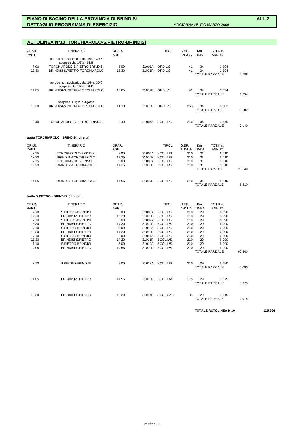# **AUTOLINEA N°10 TORCHIAROLO-S.PIETRO-BRINDISI**

| ORAR.<br>PART. | <b>ITINERARIO</b>                                                | ORAR.<br>ARR. |        | TIPOL.   | G.EF.<br><b>ANNUA</b> | Km.<br><b>LINEA</b> | TOT.Km.<br><b>ANNUO</b>         |       |
|----------------|------------------------------------------------------------------|---------------|--------|----------|-----------------------|---------------------|---------------------------------|-------|
|                | perodo non scolastico dal 1/9 al 30/6<br>sospese dal 1/7 al 31/8 |               |        |          |                       |                     |                                 |       |
| 7.00           | TORCHIAROLO-S.PIETRO-BRINDISI                                    | 8.00          | 31001A | ORD.L/S  | 41                    | 34                  | 1.394                           |       |
| 12.30          | BRINDISI-S.PIETRO-TORCHIAROLO                                    | 13.30         | 31001R | ORD.L/S  | 41                    | 34                  | 1.394                           |       |
|                |                                                                  |               |        |          |                       |                     | <b>TOTALE PARZIALE</b>          | 2.788 |
|                | perodo non scolastico dal 1/9 al 30/6<br>sospese dal 1/7 al 31/8 |               |        |          |                       |                     |                                 |       |
| 14.05          | BRINDISI-S.PIETRO-TORCHIAROLO                                    | 15.05         | 31002R | ORD.L/S  | 41                    | 34                  | 1.394<br><b>TOTALE PARZIALE</b> | 1.394 |
|                | Sospesa Luglio e Agosto                                          |               |        |          |                       |                     |                                 |       |
| 10.30          | BRINDISI-S.PIETRO-TORCHIAROLO                                    | 11.30         | 31003R | ORD.L/S  | 253                   | 34                  | 8.602<br>TOTALE PARZIALE        | 8.602 |
|                |                                                                  |               |        |          |                       |                     |                                 |       |
| 8.40           | TORCHIAROLO-S.PIETRO-BRINDISI                                    | 9.40          | 31004A | SCOL.L/S | 210                   | 34                  | 7.140<br><b>TOTALE PARZIALE</b> | 7.140 |

# **tratta TORCHIAROLO - BRINDISI (diretta)**

| ORAR. | <b>ITINERARIO</b>    | ORAR. |        | TIPOL.   | G.EF.        | Km.   | TOT.Km.                |        |
|-------|----------------------|-------|--------|----------|--------------|-------|------------------------|--------|
| PART. |                      | ARR.  |        |          | <b>ANNUA</b> | LINEA | ANNUO                  |        |
| 7.15  | TORCHIAROLO-BRINDISI | 8.00  | 31005A | SCOL.L/S | 210          | 31    | 6.510                  |        |
| 12.30 | BRINDISI-TORCHIAROLO | 13.25 | 31005R | SCOL.L/S | 210          | 31    | 6.510                  |        |
| 7.15  | TORCHIAROLO-BRINDISI | 8.00  | 31006A | SCOL.L/S | 210          | 31    | 6.510                  |        |
| 13.30 | BRINDISI-TORCHIAROLO | 14.25 | 31006R | SCOL.L/S | 210          | 31    | 6.510                  |        |
|       |                      |       |        |          |              |       | TOTALE PARZIALE        | 26.040 |
| 14.05 | BRINDISI-TORCHIAROLO | 14.55 | 31007R | SCOL.L/S | 210          | 31    | 6.510                  |        |
|       |                      |       |        |          |              |       | <b>TOTALE PARZIALE</b> | 6.510  |

# **tratta S.PIETRO - BRINDISI (diretta)**

| ORAR. | <b>ITINERARIO</b>        | ORAR. |        | TIPOL.   | G.EF.        | Km.          | TOT.Km.                |        |
|-------|--------------------------|-------|--------|----------|--------------|--------------|------------------------|--------|
| PART. |                          | ARR.  |        |          | <b>ANNUA</b> | <b>LINEA</b> | <b>ANNUO</b>           |        |
| 7.10  | S.PIETRO-BRINDISI        | 8.00  | 31008A | SCOL.L/S | 210          | 29           | 6.090                  |        |
| 12.30 | <b>BRINDISI-S.PIETRO</b> | 13.20 | 31008R | SCOL.L/S | 210          | 29           | 6.090                  |        |
| 7.10  | S.PIETRO-BRINDISI        | 8.00  | 31009A | SCOL.L/S | 210          | 29           | 6.090                  |        |
| 13.30 | <b>BRINDISI-S.PIETRO</b> | 14.20 | 31009R | SCOL.L/S | 210          | 29           | 6.090                  |        |
| 7.10  | S.PIETRO-BRINDISI        | 8.00  | 31010A | SCOL.L/S | 210          | 29           | 6.090                  |        |
| 13.30 | <b>BRINDISI-S.PIETRO</b> | 14.20 | 31010R | SCOL.L/S | 210          | 29           | 6.090                  |        |
| 7.10  | S.PIETRO-BRINDISI        | 8.00  | 31011A | SCOL.L/S | 210          | 29           | 6.090                  |        |
| 13.30 | <b>BRINDISI-S.PIETRO</b> | 14.20 | 31011R | SCOL.L/S | 210          | 29           | 6.090                  |        |
| 7.10  | S.PIETRO-BRINDISI        | 8.00  | 31012A | SCOL.L/S | 210          | 29           | 6.090                  |        |
| 14.05 | <b>BRINDISI-S.PIETRO</b> | 14.55 | 31012R | SCOL.L/S | 210          | 29           | 6.090                  |        |
|       |                          |       |        |          |              |              | <b>TOTALE PARZIALE</b> | 60.900 |
|       |                          |       |        |          |              |              |                        |        |
| 7.10  | S.PIETRO-BRINDISI        | 8.00  | 31013A | SCOL.L/S | 210          | 29           | 6.090                  |        |
|       |                          |       |        |          |              |              | <b>TOTALE PARZIALE</b> | 6.090  |
|       |                          |       |        |          |              |              |                        |        |
| 14.05 | <b>BRINDISI-S.PIETRO</b> | 14.55 | 31013R | SCOL.L/V | 175          | 29           | 5.075                  |        |
|       |                          |       |        |          |              |              | <b>TOTALE PARZIALE</b> | 5.075  |
|       |                          |       |        |          |              |              |                        |        |
|       |                          |       |        |          |              |              |                        |        |
| 12.30 | <b>BRINDISI-S.PIETRO</b> | 13.20 | 31014R | SCOL.SAB | 35           | 29           | 1.015                  |        |
|       |                          |       |        |          |              |              | <b>TOTALE PARZIALE</b> | 1.015  |

**TOTALE AUTOLINEA N.10 125.554**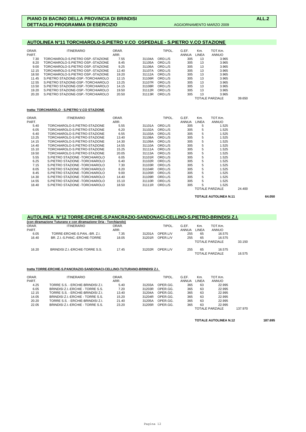# **AUTOLINEA N°11 TORCHIAROLO-S.PIETRO V.CO OSPEDALE - S.PIETRO V.CO STAZIONE**

| ORAR.<br>PART. | <b>ITINERARIO</b>                  | ORAR.<br>ARR. |        | TIPOL.  | G.EF.<br>ANNUA | Km.<br>LINEA | TOT.Km.<br>ANNUO |        |
|----------------|------------------------------------|---------------|--------|---------|----------------|--------------|------------------|--------|
| 7.30           | TORCHIAROLO-S.PIETRO OSP.-STAZIONE | 7.55          | 31104A | ORD.L/S | 305            | 13           | 3.965            |        |
| 8.20           | TORCHIAROLO-S.PIETRO OSP.-STAZIONE | 8.45          | 31105A | ORD.L/S | 305            | 13           | 3.965            |        |
| 9.00           | TORCHIAROLO-S.PIETRO OSP.-STAZIONE | 9.25          | 31106A | ORD.L/S | 305            | 13           | 3.965            |        |
| 12.15          | TORCHIAROLO-S PIETRO OSP -STAZIONE | 12.40         | 31107A | ORD.L/S | 305            | 13           | 3.965            |        |
| 18.50          | TORCHIAROLO-S.PIETRO OSP.-STAZIONE | 19.20         | 31112A | ORD.L/S | 305            | 13           | 3.965            |        |
| 11.45          | S.PIETRO STAZIONE-OSP.-TORCHIAROLO | 12.15         | 31106R | ORD.L/S | 305            | 13           | 3.965            |        |
| 12.55          | S.PIETRO STAZIONE-OSP.-TORCHIAROLO | 13.25         | 31107R | ORD.L/S | 305            | 13           | 3.965            |        |
| 13.50          | S.PIETRO STAZIONE-OSP.-TORCHIAROLO | 14.15         | 31108R | ORD.L/S | 305            | 13           | 3.965            |        |
| 19.20          | S.PIETRO STAZIONE-OSP.-TORCHIAROLO | 19.50         | 31112R | ORD L/S | 305            | 13           | 3.965            |        |
| 20.20          | S.PIETRO STAZIONE-OSP.-TORCHIAROLO | 20.50         | 31113R | ORD.L/S | 305            | 13           | 3.965            |        |
|                |                                    |               |        |         |                |              | TOTALE PARZIALE  | 39.650 |

### **tratta: TORCHIAROLO - S.PIETRO V.CO STAZIONE**

| ORAR. | <b>ITINERARIO</b>               | ORAR. |        | TIPOL.  | G.EF. | Km.   | TOT.Km.                |        |
|-------|---------------------------------|-------|--------|---------|-------|-------|------------------------|--------|
| PART. |                                 | ARR.  |        |         | ANNUA | LINEA | <b>ANNUO</b>           |        |
| 5.40  | TORCHIAROLO-S.PIETRO-STAZIONE   | 5.55  | 31101A | ORD.L/S | 305   | 5     | 1.525                  |        |
| 6.05  | TORCHIAROLO-S.PIETRO-STAZIONE   | 6.20  | 31102A | ORD.L/S | 305   | 5     | 1.525                  |        |
| 6.40  | TORCHIAROLO-S.PIETRO-STAZIONE   | 6.55  | 31103A | ORD.L/S | 305   | 5     | 1.525                  |        |
| 13.25 | TORCHIAROLO-S.PIETRO-STAZIONE   | 13.40 | 31108A | ORD.L/S | 305   | 5     | 1.525                  |        |
| 14.15 | TORCHIAROLO-S.PIETRO-STAZIONE   | 14.30 | 31109A | ORD.L/S | 305   | 5     | 1.525                  |        |
| 14.40 | TORCHIAROLO-S.PIETRO-STAZIONE   | 14.55 | 31110A | ORD.L/S | 305   | 5     | 1.525                  |        |
| 15.10 | TORCHIAROLO-S.PIETRO-STAZIONE   | 15.25 | 31111A | ORD.L/S | 305   | 5     | 1.525                  |        |
| 19.50 | TORCHIAROLO-S.PIETRO-STAZIONE   | 20.05 | 31113A | ORD.L/S | 305   | 5     | 1.525                  |        |
| 5.55  | S.PIETRO STAZIONE -TORCHIAROLO  | 6.05  | 31101R | ORD.L/S | 305   | 5     | 1.525                  |        |
| 6.25  | S.PIETRO STAZIONE -TORCHIAROLO  | 6.40  | 31102R | ORD.L/S | 305   | 5     | 1.525                  |        |
| 7.15  | S.PIETRO STAZIONE -TORCHIAROLO  | 7.30  | 31103R | ORD.L/S | 305   | 5     | 1.525                  |        |
| 8.05  | S.PIETRO STAZIONE -TORCHIAROLO  | 8.20  | 31104R | ORD.L/S | 305   | 5     | 1.525                  |        |
| 8.45  | S.PIETRO STAZIONE -TORCHIAROLO  | 9.00  | 31105R | ORD.L/S | 305   | 5     | 1.525                  |        |
| 14.30 | S.PIETRO STAZIONE -TORCHIAROLO  | 14.40 | 31109R | ORD.L/S | 305   | 5     | 1.525                  |        |
| 14.55 | S.PIETRO STAZIONE -TORCHIAROLO  | 15.10 | 31110R | ORD.L/S | 305   | 5     | 1.525                  |        |
| 18.40 | S.PIETRO STAZIONE - TORCHIAROLO | 18.50 | 31111R | ORD.L/S | 305   | 5     | 1.525                  |        |
|       |                                 |       |        |         |       |       | <b>TOTALE PARZIALE</b> | 24.400 |

**TOTALE AUTOLINEA N.11 64.050** 

# **AUTOLINEA N°12 TORRE-ERCHIE-S.PANCRAZIO-SANDONACI-CELLINO-S.PIETRO-BRINDISI Z.I.**

|       | (con diramazione Tuturano e con diramazione Oria - Torchiarolo) |       |        |          |       |       |                        |        |
|-------|-----------------------------------------------------------------|-------|--------|----------|-------|-------|------------------------|--------|
| ORAR. | <b>ITINERARIO</b>                                               | ORAR. |        | TIPOL.   | G.EF. | Km.   | TOT.Km.                |        |
| PART. |                                                                 | ARR.  |        |          | ANNUA | LINEA | ANNUO                  |        |
| 6.05  | TORRE-ERCHIE-S.PAN-BR. Z.I.                                     | 7.35  | 31201A | OPER.L/V | 255   | 65    | 16.575                 |        |
| 16.40 | BR. Z.I.-S.PANC.-ERCHIE-TORRE                                   | 18.05 | 31201R | OPER.L/V | 255   | 65    | 16.575                 |        |
|       |                                                                 |       |        |          |       |       | <b>TOTALE PARZIALE</b> | 33.150 |
| 16.20 | BRINDISI Z.I.-ERCHIE-TORRE S.S.                                 | 17.45 | 31202R | OPER.L/V | 255   | 65    | 16.575                 |        |
|       |                                                                 |       |        |          |       |       | <b>TOTALE PARZIALE</b> | 16.575 |

### **tratta TORRE-ERCHIE-S.PANCRAZIO-SANDONACI-CELLINO-TUTURANO-BRINDISI Z.I.**

| ORAR.<br>PART. | <b>ITINERARIO</b>                 | ORAR.<br>ARR. |        | TIPOL.   | G.EF.<br>ANNUA | Km.<br>LINEA | TOT.Km.<br>ANNUO       |         |
|----------------|-----------------------------------|---------------|--------|----------|----------------|--------------|------------------------|---------|
| 4.25           | TORRE S.S. - ERCHIE-BRINDISI Z.I. | 5.40          | 31203A | OPER.GG. | 365            | 63           | 22.995                 |         |
| 6.05           | BRINDISI Z.I.-ERCHIE - TORRE S.S. | 7.20          | 31203R | OPER GG. | 365            | 63           | 22.995                 |         |
| 12.15          | TORRE S.S. - ERCHIE-BRINDISI Z.I. | 13.40         | 31204A | OPER GG. | 365            | 63           | 22.995                 |         |
| 14.05          | BRINDISI Z.I.-ERCHIE - TORRE S.S. | 15.20         | 31204R | OPER.GG. | 365            | 63           | 22.995                 |         |
| 20.20          | TORRE S.S. - ERCHIE-BRINDISI Z.I. | 21.40         | 31205A | OPER GG. | 365            | 63           | 22.995                 |         |
| 22.05          | BRINDISI Z.I.-ERCHIE - TORRE S.S. | 23.20         | 31205R | OPER.GG. | 365            | 63           | 22.995                 |         |
|                |                                   |               |        |          |                |              | <b>TOTALE PARZIALE</b> | 137.970 |

**TOTALE AUTOLINEA N.12 187.695**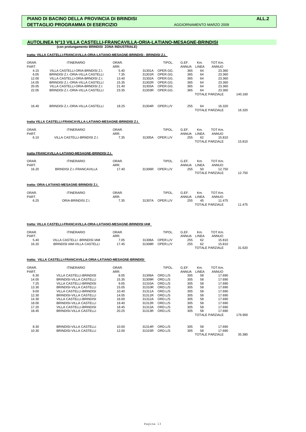# **AUTOLINEA N°13 VILLA CASTELLI-FRANCAVILLA-ORIA-LATIANO-MESAGNE-BRINDISI**

 **(con prolungamento BRINDISI ZONA INDUSTRIALE)**

# **tratta: VILLA CASTELLI-FRANCAVILLA-ORIA-LATIANO-MESAGNE-BRINDISI - BRINDISI Z.I.**

| ORAR.<br>PART.<br>4.15<br>6.05<br>12.00<br>14.05<br>20.05<br>22.05 | <b>ITINERARIO</b><br>VILLA CASTELLI-ORIA-BRNDISI Z.I.<br>BRINDISI Z.I.-ORIA-VILLA CASTELLI<br>VILLA CASTELLI-ORIA-BRNDISI Z.I.<br>BRINDISI Z.I.-ORIA-VILLA CASTELLI<br>VILLA CASTELLI-ORIA-BRNDISI Z.I.<br>BRINDISI Z.I.-ORIA-VILLA CASTELLI | ORAR.<br>ARR.<br>5.40<br>7.35<br>13.40<br>15.35<br>21.40<br>23.35 | 31301A<br>31301R<br>31302A<br>31302R<br>31303A<br>31303R | TIPOL.<br>OPER.GG.<br>OPER.GG.<br>OPER.GG.<br>OPER.GG.<br>OPER.GG.<br>OPER.GG. | G.EF.<br>ANNUA<br>365<br>365<br>365<br>365<br>365<br>365 | Km.<br>LINEA<br>64<br>64<br>64<br>64<br>64<br>64 | TOT.Km.<br>ANNUO<br>23.360<br>23.360<br>23.360<br>23.360<br>23.360<br>23.360<br><b>TOTALE PARZIALE</b> | 140.160 |
|--------------------------------------------------------------------|----------------------------------------------------------------------------------------------------------------------------------------------------------------------------------------------------------------------------------------------|-------------------------------------------------------------------|----------------------------------------------------------|--------------------------------------------------------------------------------|----------------------------------------------------------|--------------------------------------------------|--------------------------------------------------------------------------------------------------------|---------|
| 16.40                                                              | BRINDISI Z.I.-ORIA-VILLA CASTELLI                                                                                                                                                                                                            | 18.25                                                             |                                                          | 31304R OPER.L/V                                                                | 255                                                      | 64                                               | 16.320<br><b>TOTALE PARZIALE</b>                                                                       | 16.320  |
|                                                                    | tratta VILLA CASTELLI-FRANCAVILLA-LATIANO-MESAGNE-BRINDISI Z.I.                                                                                                                                                                              |                                                                   |                                                          |                                                                                |                                                          |                                                  |                                                                                                        |         |
| ORAR.<br>PART.                                                     | <b>ITINERARIO</b>                                                                                                                                                                                                                            | ORAR.<br>ARR.                                                     |                                                          | TIPOL.                                                                         | G.EF.<br>ANNUA                                           | Km.<br>LINEA                                     | TOT.Km.<br><b>ANNUO</b>                                                                                |         |
| 6.10                                                               | VILLA CASTELLI-BRNDISI Z.I.                                                                                                                                                                                                                  | 7.35                                                              | 31305A                                                   | OPER.L/V                                                                       | 255                                                      | 62                                               | 15.810<br><b>TOTALE PARZIALE</b>                                                                       | 15.810  |
|                                                                    | tratta FRANCAVILLA-LATIANO-MESAGNE-BRINDISI Z.I.                                                                                                                                                                                             |                                                                   |                                                          |                                                                                |                                                          |                                                  |                                                                                                        |         |
| ORAR.<br>PART.                                                     | <b>ITINERARIO</b>                                                                                                                                                                                                                            | ORAR.<br>ARR.                                                     |                                                          | TIPOL.                                                                         | G.EF.<br>ANNUA                                           | Km.<br>LINEA                                     | TOT.Km.<br><b>ANNUO</b>                                                                                |         |
| 16.20                                                              | BRINDISI Z.I.-FRANCAVILLA                                                                                                                                                                                                                    | 17.40                                                             | 31306R                                                   | OPER.L/V                                                                       | 255                                                      | 50                                               | 12.750<br><b>TOTALE PARZIALE</b>                                                                       | 12.750  |
|                                                                    | tratta: ORIA-LATIANO-MESAGNE-BRINDISI Z.I.                                                                                                                                                                                                   |                                                                   |                                                          |                                                                                |                                                          |                                                  |                                                                                                        |         |
| ORAR.                                                              | <b>ITINERARIO</b>                                                                                                                                                                                                                            | ORAR.                                                             |                                                          | TIPOL.                                                                         | G.EF.                                                    | Km.                                              | TOT.Km.                                                                                                |         |
| PART.                                                              |                                                                                                                                                                                                                                              | ARR.                                                              |                                                          |                                                                                | ANNUA                                                    | <b>LINEA</b>                                     | <b>ANNUO</b>                                                                                           |         |
| 6.25                                                               | ORIA-BRINDISI Z.I.                                                                                                                                                                                                                           | 7.35                                                              |                                                          | 31307A OPER.L/V                                                                | 255                                                      | 45                                               | 11.475<br><b>TOTALE PARZIALE</b>                                                                       | 11.475  |
|                                                                    | tratta: VILLA CASTELLI-FRANCAVILLA-ORIA-LATIANO-MESAGNE-BRINDISI IAM                                                                                                                                                                         |                                                                   |                                                          |                                                                                |                                                          |                                                  |                                                                                                        |         |
| ORAR.<br>PART.                                                     | <b>ITINERARIO</b>                                                                                                                                                                                                                            | ORAR.<br>ARR.                                                     |                                                          | TIPOL.                                                                         | G.EF.<br>ANNUA                                           | Km.<br><b>LINEA</b>                              | TOT.Km.<br><b>ANNUO</b>                                                                                |         |
| 5.40<br>16.20                                                      | VILLA CASTELLI - BRINDISI IAM<br>BRINDISI IAM-VILLA CASTELLI                                                                                                                                                                                 | 7.05<br>17.45                                                     | 31308A<br>31308R                                         | OPER.L/V<br>OPER.L/V                                                           | 255<br>255                                               | 62<br>62                                         | 15.810<br>15.810                                                                                       |         |
|                                                                    |                                                                                                                                                                                                                                              |                                                                   |                                                          |                                                                                |                                                          |                                                  | <b>TOTALE PARZIALE</b>                                                                                 | 31.620  |
|                                                                    | tratta: VILLA CASTELLI-FRANCAVILLA-ORIA-LATIANO-MESAGNE-BRINDISI                                                                                                                                                                             |                                                                   |                                                          |                                                                                |                                                          |                                                  |                                                                                                        |         |
| ORAR.<br>PART.                                                     | <b>ITINERARIO</b>                                                                                                                                                                                                                            | ORAR.<br>ARR.                                                     |                                                          | TIPOL.                                                                         | G.EF.<br>ANNUA                                           | Km.<br>LINEA                                     | TOT.Km.<br>ANNUO                                                                                       |         |
| 6.30                                                               | <b>VILLA CASTELLI-BRINDISI</b>                                                                                                                                                                                                               | 8.05                                                              | 31309A                                                   | ORD.L/S                                                                        | 305                                                      | 58                                               | 17.690                                                                                                 |         |
| 14.05                                                              | BRINDISI-VILLA CASTELLI                                                                                                                                                                                                                      | 15.35                                                             | 31309R                                                   | ORD.L/S                                                                        | 305                                                      | 58                                               | 17.690                                                                                                 |         |

|         | <b>AININUU</b>         | LINCA | <b>ANNUA</b> |         |        | ARR.  |                                | -ARI. |
|---------|------------------------|-------|--------------|---------|--------|-------|--------------------------------|-------|
|         | 17.690                 | 58    | 305          | ORD.L/S | 31309A | 8.05  | <b>VILLA CASTELLI-BRINDISI</b> | 6.30  |
|         | 17.690                 | 58    | 305          | ORD.L/S | 31309R | 15.35 | BRINDISI-VILLA CASTELLI        | 14.05 |
|         | 17.690                 | 58    | 305          | ORD.L/S | 31310A | 9.05  | VILLA CASTELLI-BRINDISI        | 7.25  |
|         | 17.690                 | 58    | 305          | ORD.L/S | 31310R | 15.05 | BRINDISI-VILLA CASTELLI        | 13.30 |
|         | 17.690                 | 58    | 305          | ORD.L/S | 31311A | 10.40 | VILLA CASTELLI-BRINDISI        | 9.00  |
|         | 17.690                 | 58    | 305          | ORD.L/S | 31311R | 14.05 | BRINDISI-VILLA CASTELLI        | 12.30 |
|         | 17.690                 | 58    | 305          | ORD.L/S | 31312A | 16.00 | VILLA CASTELLI-BRINDISI        | 14.30 |
|         | 17.690                 | 58    | 305          | ORD.L/S | 31312R | 19.40 | BRINDISI-VILLA CASTELLI        | 18.00 |
|         | 17.690                 | 58    | 305          | ORD.L/S | 31313A | 18.45 | VILLA CASTELLI-BRINDISI        | 17.20 |
|         | 17.690                 | 58    | 305          | ORD.L/S | 31313R | 20.25 | BRINDISI-VILLA CASTELLI        | 18.45 |
| 176.900 | <b>TOTALE PARZIALE</b> |       |              |         |        |       |                                |       |
|         | 17.690                 | 58    | 305          | ORD.L/S | 31314R | 10.00 | BRINDISI-VILLA CASTELLI        | 8.30  |
|         | 17.690                 | 58    | 305          | ORD.L/S | 31315R | 12.00 | <b>BRINDISI-VILLA CASTELLI</b> | 10.30 |
| 35.380  | <b>TOTALE PARZIALE</b> |       |              |         |        |       |                                |       |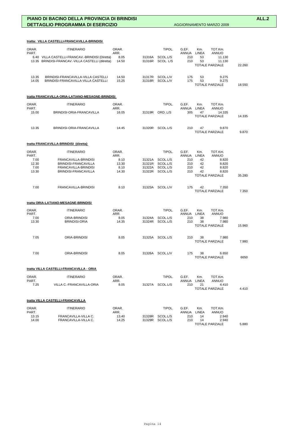|                | tratta: VILLA CASTELLI-FRANCAVILLA-BRINDISI                                                          |                |                  |                             |                      |              |                                            |        |
|----------------|------------------------------------------------------------------------------------------------------|----------------|------------------|-----------------------------|----------------------|--------------|--------------------------------------------|--------|
| ORAR.<br>PART. | <b>ITINERARIO</b>                                                                                    | ORAR.<br>ARR.  |                  | TIPOL.                      | G.EF.<br>ANNUA       | Km.<br>LINEA | TOT.Km.<br><b>ANNUO</b>                    |        |
|                | 6.40 VILLA CASTELLI-FRANCAV.-BRINDISI (Diretta)<br>13.35 BRINDISI-FRANCAV.-VILLA CASTELLI (ditretta) | 8.05<br>14.50  | 31316A<br>31316R | SCOL.L/S<br>SCOL. L/S       | 210<br>210           | 53<br>53     | 11.130<br>11.130<br><b>TOTALE PARZIALE</b> | 22.260 |
| 13.35<br>14.05 | BRINDISI-FRANCAVILLA-VILLA CASTELLI<br>BRINDISI-FRANCAVILLA-VILLA CASTELLI                           | 14.50<br>15.25 | 31317R<br>31318R | SCOL.L/V<br>SCOL.L/V        | 175<br>175           | 53<br>53     | 9.275<br>9.275<br><b>TOTALE PARZIALE</b>   | 18.550 |
|                | tratta FRANCAVILLA-ORIA-LATIANO-MESAGNE-BRINDISI                                                     |                |                  |                             |                      |              |                                            |        |
| ORAR.<br>PART. | <b>ITINERARIO</b>                                                                                    | ORAR.<br>ARR.  |                  | TIPOL.                      | G.EF.<br>ANNUA       | Km.<br>LINEA | TOT.Km.<br><b>ANNUO</b>                    |        |
| 15.00          | BRINDISI-ORIA-FRANCAVILLA                                                                            | 16.05          | 31319R           | ORD.L/S                     | 305                  | 47           | 14.335<br><b>TOTALE PARZIALE</b>           | 14.335 |
| 13.35          | BRINDISI-ORIA-FRANCAVILLA                                                                            | 14.45          |                  | 31320R SCOL.L/S             | 210                  | 47           | 9.870<br><b>TOTALE PARZIALE</b>            | 9.870  |
|                | tratta FRANCAVILLA-BRINDISI (diretta)                                                                |                |                  |                             |                      |              |                                            |        |
| ORAR.<br>PART. | <b>ITINERARIO</b>                                                                                    | ORAR.<br>ARR.  |                  | TIPOL.                      | G.EF.<br>ANNUA LINEA | Km.          | TOT.Km.<br><b>ANNUO</b>                    |        |
| 7.00           | FRANCAVILLA-BRINDISI                                                                                 | 8.10           | 31321A           | SCOL.L/S                    | 210                  | 42           | 8.820                                      |        |
| 12.30<br>7.00  | BRINDISI-FRANCAVILLA<br>FRANCAVILLA-BRINDISI                                                         | 13.30<br>8.10  | 31321R<br>31322A | SCOL.L/S<br>SCOL.L/S        | 210<br>210           | 42<br>42     | 8.820<br>8.820                             |        |
| 13.30          | BRINDISI-FRANCAVILLA                                                                                 | 14.30          | 31322R           | SCOL.L/S                    | 210                  | 42           | 8.820<br><b>TOTALE PARZIALE</b>            | 35.280 |
| 7.00           | FRANCAVILLA-BRINDISI                                                                                 | 8.10           |                  | 31323A SCOL.L/V             | 175                  | 42           | 7.350<br><b>TOTALE PARZIALE</b>            | 7.350  |
|                | tratta ORIA-LATIANO-MESAGNE-BRINDISI                                                                 |                |                  |                             |                      |              |                                            |        |
| ORAR.<br>PART. | <b>ITINERARIO</b>                                                                                    | ORAR.<br>ARR.  |                  | TIPOL.                      | G.EF.<br>ANNUA LINEA | Km.          | TOT.Km.<br>ANNUO                           |        |
| 7.00           | ORIA-BRINDISI                                                                                        | 8.05           | 31324A           | SCOL.L/S                    | 210                  | 38           | 7.980                                      |        |
| 13.30          | <b>BRINDISI-ORIA</b>                                                                                 | 14.35          | 31324R           | SCOL.L/S                    | 210                  | 38           | 7.980<br><b>TOTALE PARZIALE</b>            | 15.960 |
| 7.05           | ORIA-BRINDISI                                                                                        | 8.05           | 31325A           | SCOL.L/S                    | 210                  | 38           | 7.980<br><b>TOTALE PARZIALE</b>            | 7.980  |
| 7.00           | ORIA-BRINDISI                                                                                        | 8.05           |                  | 31326A SCOL.L/V             | 175                  | 38           | 6.650<br><b>TOTALE PARZIALE</b>            | 6650   |
|                | tratta VILLA CASTELLI-FRANCAVILLA - ORIA                                                             |                |                  |                             |                      |              |                                            |        |
| ORAR.          | <b>ITINERARIO</b>                                                                                    | ORAR.          |                  | TIPOL.                      | G.EF.                | Km.          | TOT.Km.                                    |        |
| PART.<br>7.25  | VILLA C.-FRANCAVILLA-ORIA                                                                            | ARR.<br>8.05   |                  | 31327A SCOL.L/S             | ANNUA LINEA<br>210   | 21           | ANNUO<br>4.410<br><b>TOTALE PARZIALE</b>   | 4.410  |
|                | tratta VILLA CASTELLI-FRANCAVILLA                                                                    |                |                  |                             |                      |              |                                            |        |
| ORAR.          | <b>ITINERARIO</b>                                                                                    | ORAR.          |                  | TIPOL.                      | G.EF.                | Km.          | TOT.Km.                                    |        |
| PART.          |                                                                                                      | ARR.           |                  |                             | ANNUA LINEA          |              | <b>ANNUO</b>                               |        |
| 13.15<br>14.00 | FRANCAVILLA-VILLA C.<br>FRANCAVILLA-VILLA C.                                                         | 13.40<br>14.25 | 31328R           | SCOL.L/S<br>31329R SCOL.L/S | 210<br>210           | 14<br>14     | 2.940<br>2.940<br><b>TOTALE PARZIALE</b>   | 5.880  |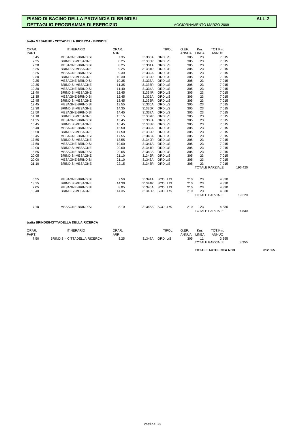# **tratta MESAGNE - CITTADELLA RICERCA - BRINDISI**

| ORAR. | <b>ITINERARIO</b>       | ORAR. |        | TIPOL.   | G.EF.        | Km.          | TOT.Km.                |         |
|-------|-------------------------|-------|--------|----------|--------------|--------------|------------------------|---------|
| PART. |                         | ARR.  |        |          | <b>ANNUA</b> | <b>LINEA</b> | <b>ANNUO</b>           |         |
| 6.45  | <b>MESAGNE-BRINDISI</b> | 7.35  | 31330A | ORD.L/S  | 305          | 23           | 7.015                  |         |
| 7.35  | <b>BRINDISI-MESAGNE</b> | 8.25  | 31330R | ORD.L/S  | 305          | 23           | 7.015                  |         |
| 7.20  | <b>MESAGNE-BRINDISI</b> | 8.25  | 31331A | ORD.L/S  | 305          | 23           | 7.015                  |         |
| 8.25  | <b>BRINDISI-MESAGNE</b> | 9.25  | 31331R | ORD.L/S  | 305          | 23           | 7.015                  |         |
| 8.25  | <b>MESAGNE-BRINDISI</b> | 9.30  | 31332A | ORD.L/S  | 305          | 23           | 7.015                  |         |
| 9.30  | <b>BRINDISI-MESAGNE</b> | 10.30 | 31332R | ORD.L/S  | 305          | 23           | 7.015                  |         |
| 9.25  | <b>MESAGNE-BRINDISI</b> | 10.35 | 31333A | ORD.L/S  | 305          | 23           | 7.015                  |         |
| 10.35 | <b>BRINDISI-MESAGNE</b> | 11.35 | 31333R | ORD.L/S  | 305          | 23           | 7.015                  |         |
| 10.30 | <b>MESAGNE-BRINDISI</b> | 11.40 | 31334A | ORD.L/S  | 305          | 23           | 7.015                  |         |
| 11.40 | <b>BRINDISI-MESAGNE</b> | 12.45 | 31334R | ORD.L/S  | 305          | 23           | 7.015                  |         |
| 11.35 | <b>MESAGNE-BRINDISI</b> | 12.45 | 31335A | ORD.L/S  | 305          | 23           | 7.015                  |         |
| 12.45 | <b>BRINDISI-MESAGNE</b> | 13.45 | 31335R | ORD.L/S  | 305          | 23           | 7.015                  |         |
| 12.45 | <b>MESAGNE-BRINDISI</b> | 13.55 | 31336A | ORD.L/S  | 305          | 23           | 7.015                  |         |
| 13.30 | <b>BRINDISI-MESAGNE</b> | 14.35 | 31336R | ORD.L/S  | 305          | 23           | 7.015                  |         |
| 13.50 | <b>MESAGNE-BRINDISI</b> | 14.45 | 31337A | ORD.L/S  | 305          | 23           | 7.015                  |         |
| 14.10 | <b>BRINDISI-MESAGNE</b> | 15.15 | 31337R | ORD.L/S  | 305          | 23           | 7.015                  |         |
| 14.35 | <b>MESAGNE-BRINDISI</b> | 15.45 | 31338A | ORD.L/S  | 305          | 23           | 7.015                  |         |
| 15.45 | <b>BRINDISI-MESAGNE</b> | 16.45 | 31338R | ORD.L/S  | 305          | 23           | 7.015                  |         |
| 15.40 | <b>MESAGNE-BRINDISI</b> | 16.50 | 31339A | ORD.L/S  | 305          | 23           | 7.015                  |         |
| 16.50 | <b>BRINDISI-MESAGNE</b> | 17.50 | 31339R | ORD.L/S  | 305          | 23           | 7.015                  |         |
| 16.45 | <b>MESAGNE-BRINDISI</b> | 17.55 | 31340A | ORD.L/S  | 305          | 23           | 7.015                  |         |
| 17.55 | BRINDISI-MESAGNE        | 18.55 | 31340R | ORD.L/S  | 305          | 23           | 7.015                  |         |
| 17.50 | MESAGNE-BRINDISI        | 19.00 | 31341A | ORD.L/S  | 305          | 23           | 7.015                  |         |
| 19.00 | <b>BRINDISI-MESAGNE</b> | 20.00 | 31341R | ORD.L/S  | 305          | 23           | 7.015                  |         |
| 18.55 | <b>MESAGNE-BRINDISI</b> | 20.05 | 31342A | ORD.L/S  | 305          | 23           | 7.015                  |         |
| 20.05 | BRINDISI-MESAGNE        | 21.10 | 31342R | ORD.L/S  | 305          | 23           | 7.015                  |         |
| 20.00 | <b>MESAGNE-BRINDISI</b> | 21.10 | 31343A | ORD.L/S  | 305          | 23           | 7.015                  |         |
| 21.10 | <b>BRINDISI-MESAGNE</b> | 22.15 | 31343R | ORD.L/S  | 305          | 23           | 7.015                  |         |
|       |                         |       |        |          |              |              | <b>TOTALE PARZIALE</b> | 196.420 |
| 6.55  | <b>MESAGNE-BRINDISI</b> | 7.50  | 31344A | SCOL.L/S | 210          | 23           | 4.830                  |         |
| 13.35 | <b>BRINDISI-MESAGNE</b> | 14.30 | 31344R | SCOL.L/S | 210          | 23           | 4.830                  |         |
| 7.05  |                         |       |        | SCOL.L/S |              | 23           |                        |         |
|       | <b>MESAGNE-BRINDISI</b> | 8.05  | 31345A |          | 210          | 23           | 4.830                  |         |
| 13.40 | <b>BRINDISI-MESAGNE</b> | 14.35 | 31345R | SCOL.L/S | 210          |              | 4.830                  | 19.320  |
|       |                         |       |        |          |              |              | <b>TOTALE PARZIALE</b> |         |
| 7.10  | <b>MESAGNE-BRINDISI</b> | 8.10  | 31346A | SCOL.L/S | 210          | 23           | 4.830                  |         |
|       |                         |       |        |          |              |              | <b>TOTALE PARZIALE</b> | 4.830   |
|       |                         |       |        |          |              |              |                        |         |

### **tratta BRINDISI-CITTADELLA DELLA RICERCA**

| ORAR. | <b>ITINERARIO</b>                    | ORAR. |        | TIPOL.   | G.EF         | Km.                    | TOT.Km.      |       |
|-------|--------------------------------------|-------|--------|----------|--------------|------------------------|--------------|-------|
| PART. |                                      | ARR.  |        |          | <b>ANNUA</b> | LINEA                  | <b>ANNUO</b> |       |
| 7.50  | <b>BRINDISI - CITTADELLA RICERCA</b> | 8.25  | 31347A | ORD, L/S | 305          |                        | 3.355        |       |
|       |                                      |       |        |          |              | <b>TOTALE PARZIALE</b> |              | 3.355 |

**TOTALE AUTOLINEA N.13 812.865**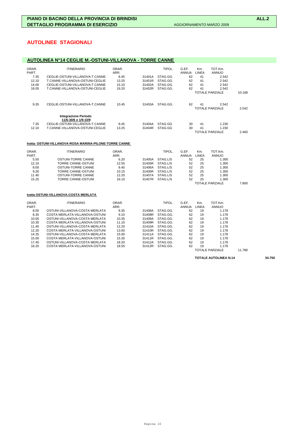# **AUTOLINEE STAGIONALI**

# **AUTOLINEA N°14 CEGLIE M.-OSTUNI-VILLANOVA - TORRE CANNE**

| ORAR.<br>PART. | <b>ITINERARIO</b>                            | ORAR.<br>ARR. |        | TIPOL.   | G.EF.<br>ANNUA | Km.<br>LINEA | TOT.Km.<br>ANNUO         |        |
|----------------|----------------------------------------------|---------------|--------|----------|----------------|--------------|--------------------------|--------|
| 7.35           | CEGLIE-OSTUNI-VILLANOVA-T.CANNE              | 8.45          | 31401A | STAG.GG. | 62             | 41           | 2.542                    |        |
| 12.10          | T.CANNE-VILLANOVA-OSTUNI-CEGLIE              | 13.25         | 31401R | STAG.GG. | 62             | 41           | 2.542                    |        |
| 14.00          | CEGLIE-OSTUNI-VILLANOVA-T.CANNE              | 15.10         | 31402A | STAG.GG. | 62             | 41           | 2.542                    |        |
| 18.05          | T.CANNE-VILLANOVA-OSTUNI-CEGLIE              | 19.20         | 31402R | STAG.GG. | 62             | 41           | 2.542                    |        |
|                |                                              |               |        |          |                |              | TOTALE PARZIALE          | 10.168 |
| 9.35           | CEGLIE-OSTUNI-VILLANOVA-T.CANNE              | 10.45         | 31403A | STAG.GG. | 62             | 41           | 2.542<br>TOTALE PARZIALE | 2.542  |
|                | Integrazione Periodo<br>11/6-30/6 e 1/9-10/9 |               |        |          |                |              |                          |        |
| 7.35           | CEGLIE-OSTUNI-VILLANOVA-T.CANNE              | 8.45          | 31404A | STAG.GG  | 30             | 41           | 1.230                    |        |
| 12.10          | T.CANNE-VILLANOVA-OSTUNI-CEGLIE              | 13.25         | 31404R | STAG.GG  | 30             | 41           | 1.230                    |        |
|                |                                              |               |        |          |                |              | <b>TOTALE PARZIALE</b>   | 2.460  |

### **tratta: OSTUNI-VILLANOVA-ROSA MARINA-PILONE-TORRE CANNE**

| ORAR.<br>PART. | <b>ITINERARIO</b>  | ORAR.<br>ARR. |        | TIPOL.   | G.EF.<br>ANNUA | Km.<br>LINEA | TOT.Km.<br><b>ANNUO</b> |       |
|----------------|--------------------|---------------|--------|----------|----------------|--------------|-------------------------|-------|
| 5.50           | OSTUNI-TORRE CANNE | 6.20          | 31405A | STAG.L/S | 52             | 25           | 1.300                   |       |
| 12.10          | TORRE CANNE-OSTUNI | 12.55         | 31405R | STAG.L/S | 52             | 25           | 1.300                   |       |
| 8.00           | OSTUNI-TORRE CANNE | 8.40          | 31406A | STAG.L/S | 52             | 25           | 1.300                   |       |
| 9.30           | TORRE CANNE-OSTUNI | 10.15         | 31406R | STAG.L/S | 52             | 25           | 1.300                   |       |
| 11.40          | OSTUNI-TORRE CANNE | 12.20         | 31407A | STAG.L/S | 52             | 25           | 1.300                   |       |
| 15.25          | TORRE CANNE-OSTUNI | 16.10         | 31407R | STAG.L/S | 52             | 25           | 1.300                   |       |
|                |                    |               |        |          |                |              | TOTALE PARZIALE         | 7.800 |

### **tratta OSTUNI-VILLANOVA-COSTA MERLATA**

| ORAR. | <b>ITINERARIO</b>              | ORAR. |        | TIPOL.   | G.EF. | Km.   | TOT.Km.      |  |
|-------|--------------------------------|-------|--------|----------|-------|-------|--------------|--|
| PART. |                                | ARR.  |        |          | ANNUA | LINEA | <b>ANNUO</b> |  |
| 8.00  | OSTUNI-VILLANOVA-COSTA MERLATA | 8.35  | 31408A | STAG.GG. | 62    | 19    | 1.178        |  |
| 8.35  | COSTA MERLATA-VILLANOVA-OSTUNI | 9.10  | 31408R | STAG.GG. | 62    | 19    | 1.178        |  |
| 10.00 | OSTUNI-VILLANOVA-COSTA MERLATA | 10.35 | 31409A | STAG.GG. | 62    | 19    | 1.178        |  |
| 10.35 | COSTA MERLATA-VILLANOVA-OSTUNI | 11.10 | 31409R | STAG.GG. | 62    | 19    | 1.178        |  |
| 11.45 | OSTUNI-VILLANOVA-COSTA MERLATA | 12.20 | 31410A | STAG.GG. | 62    | 19    | 1.178        |  |
| 12.20 | COSTA MERLATA-VILLANOVA-OSTUNI | 13.00 | 31410R | STAG.GG. | 62    | 19    | 1.178        |  |
| 14.25 | OSTUNI-VILLANOVA-COSTA MERLATA | 15.00 | 31411A | STAG.GG. | 62    | 19    | 1.178        |  |
| 15.00 | COSTA MERLATA-VILLANOVA-OSTUNI | 15.35 | 31411R | STAG.GG. | 62    | 19    | 1.178        |  |
| 17.45 | OSTUNI-VILLANOVA-COSTA MERLATA | 18.20 | 31412A | STAG.GG. | 62    | 19    | 1.178        |  |
| 18.20 | COSTA MERLATA-VILLANOVA-OSTUNI | 18.55 | 31412R | STAG.GG. | 62    | 19    | 1.178        |  |
|       |                                |       |        |          |       |       | _____        |  |

### TOTALE PARZIALE 11.780

**TOTALE AUTOLINEA N.14 34.750**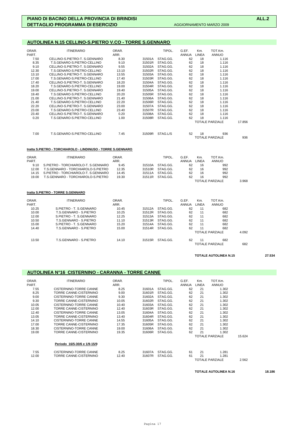# **AUTOLINEA N.15 CELLINO-S.PIETRO V.CO - TORRE S.GENNARO**

| ORAR.<br>PART. | <b>ITINERARIO</b>             | ORAR.<br>ARR. |        | TIPOL.   | G.EF.<br><b>ANNUA</b> | Km.<br><b>LINEA</b> | TOT.Km.<br><b>ANNUO</b>       |        |
|----------------|-------------------------------|---------------|--------|----------|-----------------------|---------------------|-------------------------------|--------|
| 7.50           | CELLINO-S.PIETRO-T. S.GENNARO | 8.30          | 31501A | STAG.GG. | 62                    | 18                  | 1.116                         |        |
| 8.35           | T.S.GENARO-S.PIETRO-CELLINO   | 9.10          | 31501R | STAG.GG. | 62                    | 18                  | 1.116                         |        |
| 9.10           | CELLINO-S.PIETRO-T. S.GENNARO | 9.55          | 31502A | STAG.GG. | 62                    | 18                  | 1.116                         |        |
| 12.30          | T.S.GENARO-S.PIETRO-CELLINO   | 13.10         | 31502R | STAG.GG. | 62                    | 18                  | 1.116                         |        |
| 13.10          | CELLINO-S.PIETRO-T. S.GENNARO | 13.55         | 31503A | STAG.GG. | 62                    | 18                  | 1.116                         |        |
| 17.00          | T.S.GENARO-S.PIETRO-CELLINO   | 17.40         | 31503R | STAG.GG. | 62                    | 18                  | 1.116                         |        |
| 17.40          | CELLINO-S.PIETRO-T. S.GENNARO | 18.20         | 31504A | STAG.GG. | 62                    | 18                  | 1.116                         |        |
| 18.20          | T.S.GENARO-S.PIETRO-CELLINO   | 19.00         | 31504R | STAG.GG. | 62                    | 18                  | 1.116                         |        |
| 19.00          | CELLINO-S.PIETRO-T. S.GENNARO | 19.40         | 31505A | STAG.GG. | 62                    | 18                  | 1.116                         |        |
| 19.40          | T.S.GENARO-S.PIETRO-CELLINO   | 20.20         | 31505R | STAG.GG. | 62                    | 18                  | 1.116                         |        |
| 21.00          | CELLINO-S.PIETRO-T. S.GENNARO | 21.40         | 31506A | STAG.GG. | 62                    | 18                  | 1.116                         |        |
| 21.40          | T.S.GENARO-S.PIETRO-CELLINO   | 22.20         | 31506R | STAG.GG. | 62                    | 18                  | 1.116                         |        |
| 22.20          | CELLINO-S.PIETRO-T. S.GENNARO | 23.00         | 31507A | STAG.GG. | 62                    | 18                  | 1.116                         |        |
| 23.00          | T.S.GENARO-S.PIETRO-CELLINO   | 23.40         | 31507R | STAG.GG. | 62                    | 18                  | 1.116                         |        |
| 23.40          | CELLINO-S.PIETRO-T. S.GENNARO | 0.20          | 31508A | STAG.GG. | 62                    | 18                  | 1.116                         |        |
| 0.20           | T.S.GENARO-S.PIETRO-CELLINO   | 1.00          | 31508R | STAG.GG. | 62                    | 18                  | 1.116                         |        |
|                |                               |               |        |          |                       |                     | <b>TOTALE PARZIALE</b>        | 17.856 |
| 7.00           | T.S.GENARO-S.PIETRO-CELLINO   | 7.45          | 31509R | STAG.L/S | 52                    | 18                  | 936<br><b>TOTALE PARZIALE</b> | 936    |

### **tratta S.PIETRO - TORCHIAROLO - LINDINUSO - TORRE S.GENNARO**

| ORAR.<br>PART. | ITINERARIO                          | ORAR.<br>ARR. |        | TIPOL    | G.EF.<br>ANNUA | Km.<br>LINEA | TOT.Km.<br>ANNUO |       |
|----------------|-------------------------------------|---------------|--------|----------|----------------|--------------|------------------|-------|
| 9.10           | S.PIETRO - TORCHIAROLO-T. S.GENNARO | 9.45          | 31510A | STAG.GG. | 62             | 16           | 992              |       |
| 12.00          | T.S.GENNARO - TORCHIAROLO-S.PIETRO  | 12.35         | 31510R | STAG.GG. | 62             | 16           | 992              |       |
| 14 15          | S.PIETRO - TORCHIAROLO-T. S.GENNARO | 14.45         | 31511A | STAG.GG. | 62             | 16           | 992              |       |
| 19.00          | T.S.GENNARO - TORCHIAROLO-S.PIETRO  | 19.30         | 31511R | STAG.GG. | 62             | 16           | 992              |       |
|                |                                     |               |        |          |                |              | TOTALE PARZIALE  | 3.968 |

### **tratta S.PIETRO - TORRE S.GENNARO**

| ORAR. | <b>ITINERARIO</b>       | ORAR. |        | TIPOL.   | G.EF.        | Km.   | TOT.Km.                |       |
|-------|-------------------------|-------|--------|----------|--------------|-------|------------------------|-------|
| PART. |                         | ARR.  |        |          | <b>ANNUA</b> | LINEA | <b>ANNUO</b>           |       |
| 10.25 | S.PIETRO - T. S.GENNARO | 10.45 | 31512A | STAG.GG. | 62           | 11    | 682                    |       |
| 10.00 | T.S.GENNARO - S.PIETRO  | 10.25 | 31512R | STAG.GG. | 62           | 11    | 682                    |       |
| 12.00 | S.PIETRO - T. S.GENNARO | 12.25 | 31513A | STAG.GG. | 62           | 11    | 682                    |       |
| 10.50 | T.S.GENNARO - S.PIETRO  | 11.10 | 31513R | STAG.GG. | 62           | 11    | 682                    |       |
| 15.00 | S.PIETRO - T. S.GENNARO | 15.20 | 31514A | STAG.GG. | 62           | 11    | 682                    |       |
| 14.40 | T.S.GENNARO - S.PIETRO  | 15.00 | 31514R | STAG.GG. | 62           | 11    | 682                    |       |
|       |                         |       |        |          |              |       | <b>TOTALE PARZIALE</b> | 4.092 |
| 13.50 | T.S.GENNARO - S.PIETRO  | 14.10 | 31515R | STAG.GG. | 62           | 11    | 682                    |       |
|       |                         |       |        |          |              |       | <b>TOTALE PARZIALE</b> | 682   |

### **TOTALE AUTOLINEA N.15 27.534**

# **AUTOLINEA N°16 CISTERNINO - CARANNA - TORRE CANNE**

| ORAR. | <b>ITINERARIO</b>            | ORAR. |        | TIPOL.   | G.EF.        | Km.          | TOT.Km.         |        |  |
|-------|------------------------------|-------|--------|----------|--------------|--------------|-----------------|--------|--|
| PART. |                              | ARR.  |        |          | <b>ANNUA</b> | <b>LINEA</b> | <b>ANNUO</b>    |        |  |
| 7.55  | CISTERNINO-TORRE CANNE       | 8.25  | 31601A | STAG.GG. | 62           | 21           | 1.302           |        |  |
| 8.25  | TORRE CANNE-CISTERNINO       | 9.00  | 31601R | STAG.GG. | 62           | 21           | 1.302           |        |  |
| 9.00  | CISTERNINO-TORRE CANNE       | 9.30  | 31602A | STAG.GG. | 62           | 21           | 1.302           |        |  |
| 9.30  | TORRE CANNE-CISTERNINO       | 10.05 | 31602R | STAG.GG. | 62           | 21           | 1.302           |        |  |
| 10.05 | CISTERNINO-TORRE CANNE       | 10.40 | 31603A | STAG.GG. | 62           | 21           | 1.302           |        |  |
| 12.00 | TORRE CANNE-CISTERNINO       | 12.40 | 31603R | STAG.GG. | 62           | 21           | 1.302           |        |  |
| 12.40 | CISTERNINO-TORRE CANNE       | 13.05 | 31604A | STAG.GG. | 62           | 21           | 1.302           |        |  |
| 13.05 | TORRE CANNE-CISTERNINO       | 13.40 | 31604R | STAG.GG. | 62           | 21           | 1.302           |        |  |
| 14.10 | CISTERNINO-TORRE CANNE       | 14.55 | 31605A | STAG.GG. | 62           | 21           | 1.302           |        |  |
| 17.00 | TORRE CANNE-CISTERNINO       | 17.35 | 31605R | STAG.GG. | 62           | 21           | 1.302           |        |  |
| 18.30 | CISTERNINO-TORRE CANNE       | 19.00 | 31606A | STAG.GG. | 62           | 21           | 1.302           |        |  |
| 19.00 | TORRE CANNE-CISTERNINO       | 19.35 | 31606R | STAG.GG. | 62           | 21           | 1.302           |        |  |
|       |                              |       |        |          |              |              | TOTALE PARZIALE | 15.624 |  |
|       | Periodo 16/5-30/6 e 1/9-15/9 |       |        |          |              |              |                 |        |  |
| 7.55  | CISTERNINO-TORRE CANNE       | 8.25  | 31607A | STAG.GG. | 61           | 21           | 1.281           |        |  |
| 12.00 | TORRE CANNE-CISTERNINO       | 12.40 | 31607R | STAG.GG. | 61           | 21           | 1.281           |        |  |
|       |                              |       |        |          |              |              | TOTALE PARZIALE | 2.562  |  |
|       |                              |       |        |          |              |              |                 |        |  |

TOTALE AUTOLINEA N.16 **18.186**